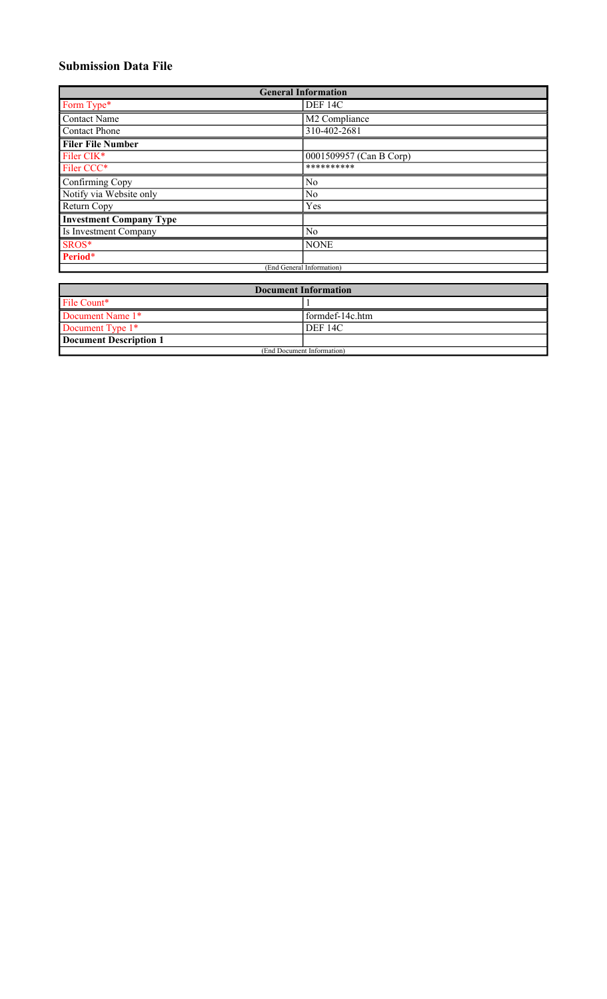# **Submission Data File**

| <b>General Information</b>     |                         |  |  |
|--------------------------------|-------------------------|--|--|
| Form Type*                     | DEF 14C                 |  |  |
| <b>Contact Name</b>            | M2 Compliance           |  |  |
| <b>Contact Phone</b>           | 310-402-2681            |  |  |
| <b>Filer File Number</b>       |                         |  |  |
| Filer CIK*                     | 0001509957 (Can B Corp) |  |  |
| Filer CCC*                     | **********              |  |  |
| Confirming Copy                | No                      |  |  |
| Notify via Website only        | N <sub>o</sub>          |  |  |
| Return Copy                    | Yes                     |  |  |
| <b>Investment Company Type</b> |                         |  |  |
| Is Investment Company          | No                      |  |  |
| SROS*                          | <b>NONE</b>             |  |  |
| Period*                        |                         |  |  |
| (End General Information)      |                         |  |  |

| <b>Document Information</b> |                    |  |
|-----------------------------|--------------------|--|
| File Count*                 |                    |  |
| Document Name 1*            | l formdef-14c.htm  |  |
| Document Type 1*            | DEF <sub>14C</sub> |  |
| Document Description 1      |                    |  |
| (End Document Information)  |                    |  |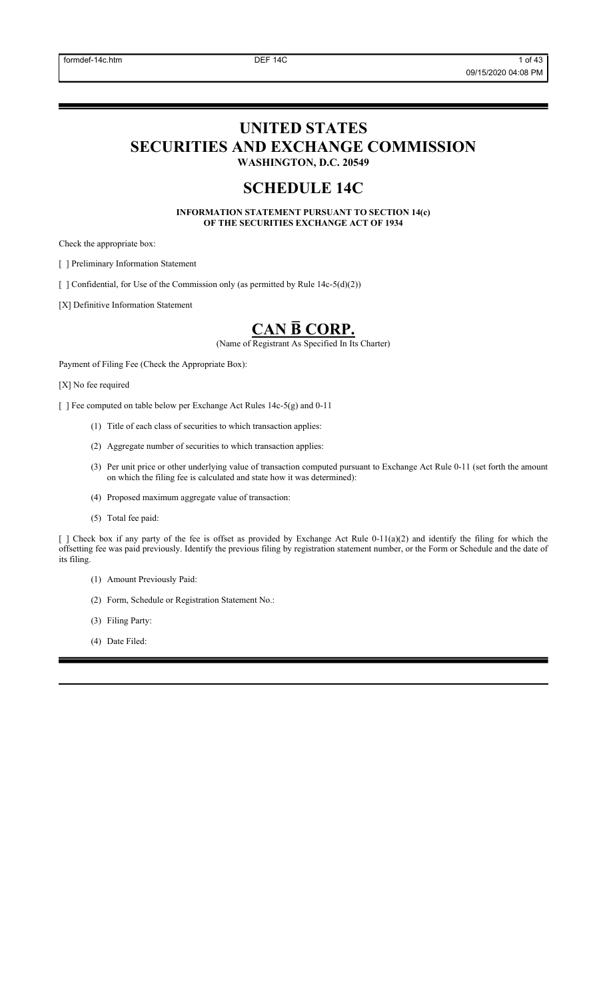# **UNITED STATES SECURITIES AND EXCHANGE COMMISSION WASHINGTON, D.C. 20549**

# **SCHEDULE 14C**

**INFORMATION STATEMENT PURSUANT TO SECTION 14(c) OF THE SECURITIES EXCHANGE ACT OF 1934**

Check the appropriate box:

[ ] Preliminary Information Statement

[ ] Confidential, for Use of the Commission only (as permitted by Rule 14c-5(d)(2))

[X] Definitive Information Statement

# **CAN B̅ CORP.**

(Name of Registrant As Specified In Its Charter)

Payment of Filing Fee (Check the Appropriate Box):

[X] No fee required

[ ] Fee computed on table below per Exchange Act Rules 14c-5(g) and 0-11

- (1) Title of each class of securities to which transaction applies:
- (2) Aggregate number of securities to which transaction applies:
- (3) Per unit price or other underlying value of transaction computed pursuant to Exchange Act Rule 0-11 (set forth the amount on which the filing fee is calculated and state how it was determined):
- (4) Proposed maximum aggregate value of transaction:
- (5) Total fee paid:

[ ] Check box if any party of the fee is offset as provided by Exchange Act Rule 0-11(a)(2) and identify the filing for which the offsetting fee was paid previously. Identify the previous filing by registration statement number, or the Form or Schedule and the date of its filing.

- (1) Amount Previously Paid:
- (2) Form, Schedule or Registration Statement No.:
- (3) Filing Party:
- (4) Date Filed: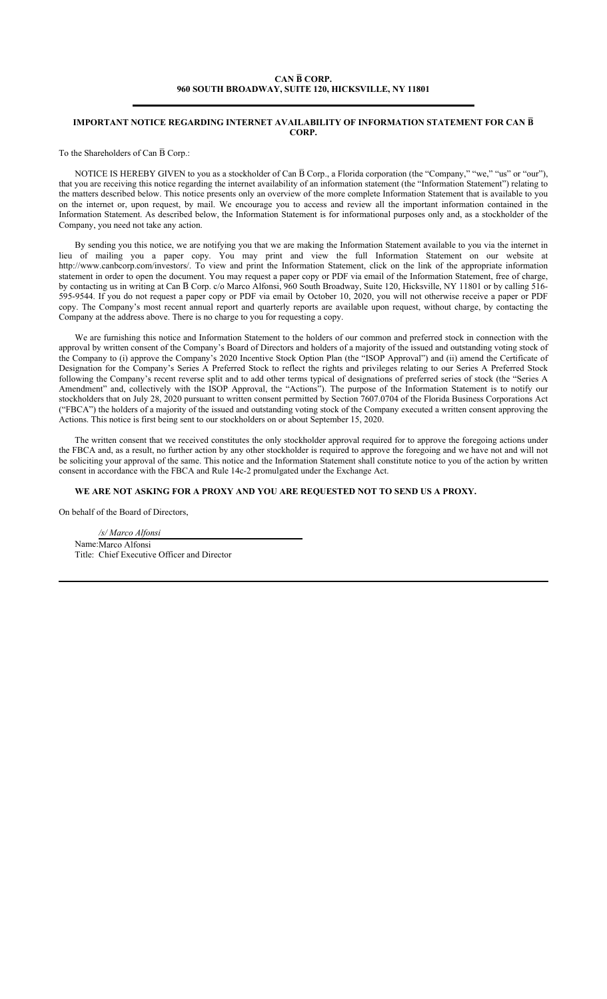# **CAN B̅ CORP. 960 SOUTH BROADWAY, SUITE 120, HICKSVILLE, NY 11801**

#### **IMPORTANT NOTICE REGARDING INTERNET AVAILABILITY OF INFORMATION STATEMENT FOR CAN B̅ CORP.**

To the Shareholders of Can  $\bar{B}$  Corp.:

NOTICE IS HEREBY GIVEN to you as a stockholder of Can  $\overline{B}$  Corp., a Florida corporation (the "Company," "we," "us" or "our"), that you are receiving this notice regarding the internet availability of an information statement (the "Information Statement") relating to the matters described below. This notice presents only an overview of the more complete Information Statement that is available to you on the internet or, upon request, by mail. We encourage you to access and review all the important information contained in the Information Statement. As described below, the Information Statement is for informational purposes only and, as a stockholder of the Company, you need not take any action.

By sending you this notice, we are notifying you that we are making the Information Statement available to you via the internet in lieu of mailing you a paper copy. You may print and view the full Information Statement on our website at http://www.canbcorp.com/investors/. To view and print the Information Statement, click on the link of the appropriate information statement in order to open the document. You may request a paper copy or PDF via email of the Information Statement, free of charge, by contacting us in writing at Can B Corp. c/o Marco Alfonsi, 960 South Broadway, Suite 120, Hicksville, NY 11801 or by calling 516-595-9544. If you do not request a paper copy or PDF via email by October 10, 2020, you will not otherwise receive a paper or PDF copy. The Company's most recent annual report and quarterly reports are available upon request, without charge, by contacting the Company at the address above. There is no charge to you for requesting a copy.

We are furnishing this notice and Information Statement to the holders of our common and preferred stock in connection with the approval by written consent of the Company's Board of Directors and holders of a majority of the issued and outstanding voting stock of the Company to (i) approve the Company's 2020 Incentive Stock Option Plan (the "ISOP Approval") and (ii) amend the Certificate of Designation for the Company's Series A Preferred Stock to reflect the rights and privileges relating to our Series A Preferred Stock following the Company's recent reverse split and to add other terms typical of designations of preferred series of stock (the "Series A Amendment" and, collectively with the ISOP Approval, the "Actions"). The purpose of the Information Statement is to notify our stockholders that on July 28, 2020 pursuant to written consent permitted by Section 7607.0704 of the Florida Business Corporations Act ("FBCA") the holders of a majority of the issued and outstanding voting stock of the Company executed a written consent approving the Actions. This notice is first being sent to our stockholders on or about September 15, 2020.

The written consent that we received constitutes the only stockholder approval required for to approve the foregoing actions under the FBCA and, as a result, no further action by any other stockholder is required to approve the foregoing and we have not and will not be soliciting your approval of the same. This notice and the Information Statement shall constitute notice to you of the action by written consent in accordance with the FBCA and Rule 14c-2 promulgated under the Exchange Act.

# **WE ARE NOT ASKING FOR A PROXY AND YOU ARE REQUESTED NOT TO SEND US A PROXY.**

On behalf of the Board of Directors,

*/s/ Marco Alfonsi* Name:Marco Alfonsi Title: Chief Executive Officer and Director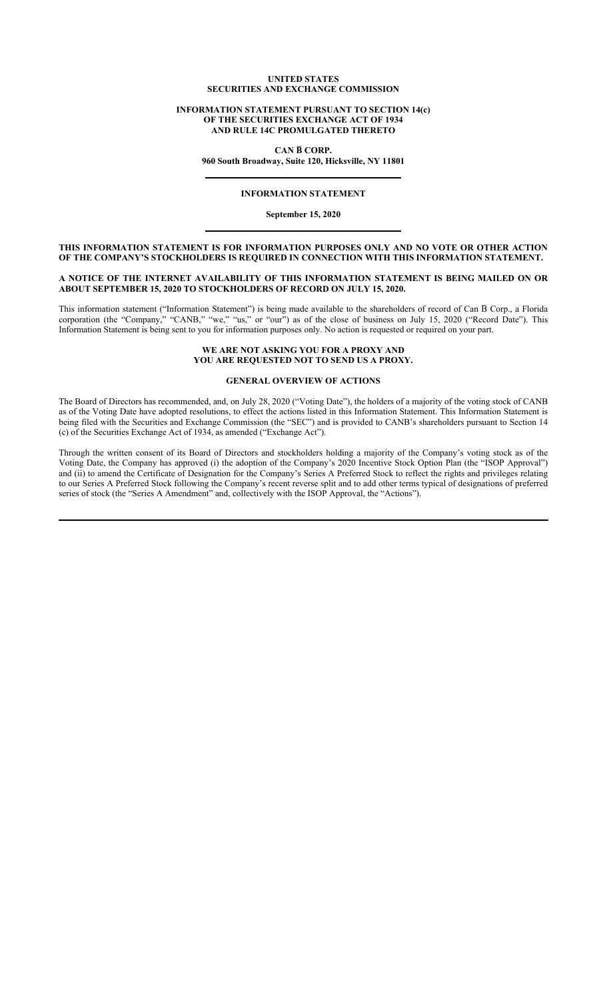#### **UNITED STATES SECURITIES AND EXCHANGE COMMISSION**

#### **INFORMATION STATEMENT PURSUANT TO SECTION 14(c) OF THE SECURITIES EXCHANGE ACT OF 1934 AND RULE 14C PROMULGATED THERETO**

**CAN B̅ CORP.**

**960 South Broadway, Suite 120, Hicksville, NY 11801**

# **INFORMATION STATEMENT**

**September 15, 2020**

## **THIS INFORMATION STATEMENT IS FOR INFORMATION PURPOSES ONLY AND NO VOTE OR OTHER ACTION OF THE COMPANY'S STOCKHOLDERS IS REQUIRED IN CONNECTION WITH THIS INFORMATION STATEMENT.**

#### **A NOTICE OF THE INTERNET AVAILABILITY OF THIS INFORMATION STATEMENT IS BEING MAILED ON OR ABOUT SEPTEMBER 15, 2020 TO STOCKHOLDERS OF RECORD ON JULY 15, 2020.**

This information statement ("Information Statement") is being made available to the shareholders of record of Can  $\overline{B}$  Corp., a Florida corporation (the "Company," "CANB," "we," "us," or "our") as of the close of business on July 15, 2020 ("Record Date"). This Information Statement is being sent to you for information purposes only. No action is requested or required on your part.

# **WE ARE NOT ASKING YOU FOR A PROXY AND YOU ARE REQUESTED NOT TO SEND US A PROXY.**

# **GENERAL OVERVIEW OF ACTIONS**

The Board of Directors has recommended, and, on July 28, 2020 ("Voting Date"), the holders of a majority of the voting stock of CANB as of the Voting Date have adopted resolutions, to effect the actions listed in this Information Statement. This Information Statement is being filed with the Securities and Exchange Commission (the "SEC") and is provided to CANB's shareholders pursuant to Section 14 (c) of the Securities Exchange Act of 1934, as amended ("Exchange Act").

Through the written consent of its Board of Directors and stockholders holding a majority of the Company's voting stock as of the Voting Date, the Company has approved (i) the adoption of the Company's 2020 Incentive Stock Option Plan (the "ISOP Approval") and (ii) to amend the Certificate of Designation for the Company's Series A Preferred Stock to reflect the rights and privileges relating to our Series A Preferred Stock following the Company's recent reverse split and to add other terms typical of designations of preferred series of stock (the "Series A Amendment" and, collectively with the ISOP Approval, the "Actions").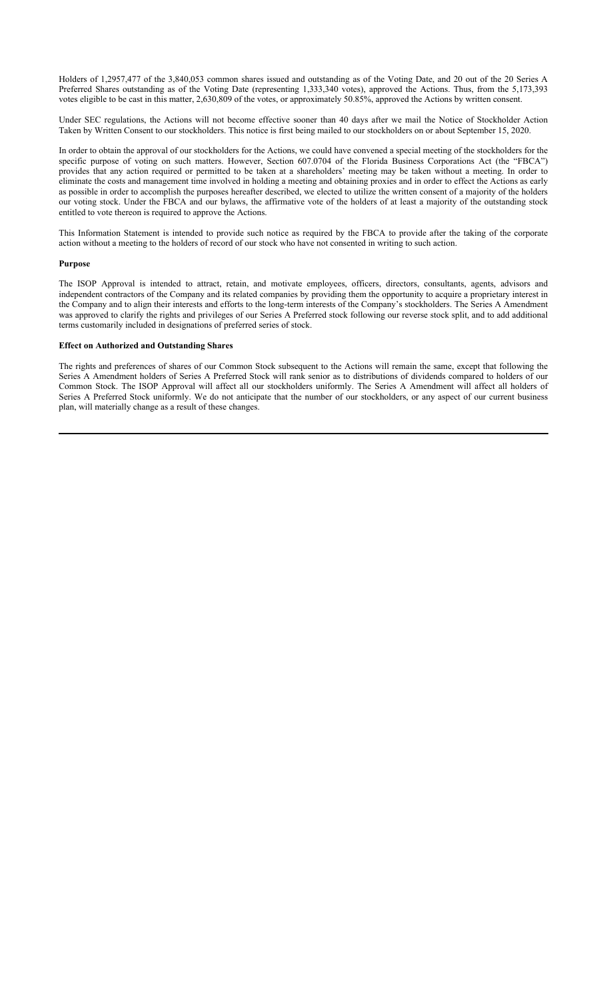Holders of 1,2957,477 of the 3,840,053 common shares issued and outstanding as of the Voting Date, and 20 out of the 20 Series A Preferred Shares outstanding as of the Voting Date (representing 1,333,340 votes), approved the Actions. Thus, from the 5,173,393 votes eligible to be cast in this matter, 2,630,809 of the votes, or approximately 50.85%, approved the Actions by written consent.

Under SEC regulations, the Actions will not become effective sooner than 40 days after we mail the Notice of Stockholder Action Taken by Written Consent to our stockholders. This notice is first being mailed to our stockholders on or about September 15, 2020.

In order to obtain the approval of our stockholders for the Actions, we could have convened a special meeting of the stockholders for the specific purpose of voting on such matters. However, Section 607.0704 of the Florida Business Corporations Act (the "FBCA") provides that any action required or permitted to be taken at a shareholders' meeting may be taken without a meeting. In order to eliminate the costs and management time involved in holding a meeting and obtaining proxies and in order to effect the Actions as early as possible in order to accomplish the purposes hereafter described, we elected to utilize the written consent of a majority of the holders our voting stock. Under the FBCA and our bylaws, the affirmative vote of the holders of at least a majority of the outstanding stock entitled to vote thereon is required to approve the Actions.

This Information Statement is intended to provide such notice as required by the FBCA to provide after the taking of the corporate action without a meeting to the holders of record of our stock who have not consented in writing to such action.

### **Purpose**

The ISOP Approval is intended to attract, retain, and motivate employees, officers, directors, consultants, agents, advisors and independent contractors of the Company and its related companies by providing them the opportunity to acquire a proprietary interest in the Company and to align their interests and efforts to the long-term interests of the Company's stockholders. The Series A Amendment was approved to clarify the rights and privileges of our Series A Preferred stock following our reverse stock split, and to add additional terms customarily included in designations of preferred series of stock.

#### **Effect on Authorized and Outstanding Shares**

The rights and preferences of shares of our Common Stock subsequent to the Actions will remain the same, except that following the Series A Amendment holders of Series A Preferred Stock will rank senior as to distributions of dividends compared to holders of our Common Stock. The ISOP Approval will affect all our stockholders uniformly. The Series A Amendment will affect all holders of Series A Preferred Stock uniformly. We do not anticipate that the number of our stockholders, or any aspect of our current business plan, will materially change as a result of these changes.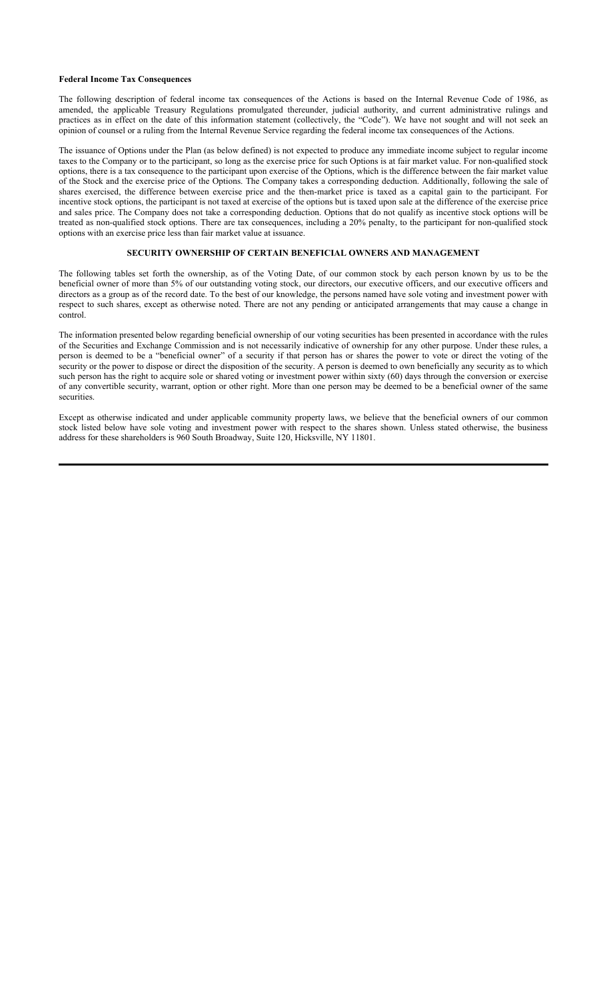#### **Federal Income Tax Consequences**

The following description of federal income tax consequences of the Actions is based on the Internal Revenue Code of 1986, as amended, the applicable Treasury Regulations promulgated thereunder, judicial authority, and current administrative rulings and practices as in effect on the date of this information statement (collectively, the "Code"). We have not sought and will not seek an opinion of counsel or a ruling from the Internal Revenue Service regarding the federal income tax consequences of the Actions.

The issuance of Options under the Plan (as below defined) is not expected to produce any immediate income subject to regular income taxes to the Company or to the participant, so long as the exercise price for such Options is at fair market value. For non-qualified stock options, there is a tax consequence to the participant upon exercise of the Options, which is the difference between the fair market value of the Stock and the exercise price of the Options. The Company takes a corresponding deduction. Additionally, following the sale of shares exercised, the difference between exercise price and the then-market price is taxed as a capital gain to the participant. For incentive stock options, the participant is not taxed at exercise of the options but is taxed upon sale at the difference of the exercise price and sales price. The Company does not take a corresponding deduction. Options that do not qualify as incentive stock options will be treated as non-qualified stock options. There are tax consequences, including a 20% penalty, to the participant for non-qualified stock options with an exercise price less than fair market value at issuance.

# **SECURITY OWNERSHIP OF CERTAIN BENEFICIAL OWNERS AND MANAGEMENT**

The following tables set forth the ownership, as of the Voting Date, of our common stock by each person known by us to be the beneficial owner of more than 5% of our outstanding voting stock, our directors, our executive officers, and our executive officers and directors as a group as of the record date. To the best of our knowledge, the persons named have sole voting and investment power with respect to such shares, except as otherwise noted. There are not any pending or anticipated arrangements that may cause a change in control.

The information presented below regarding beneficial ownership of our voting securities has been presented in accordance with the rules of the Securities and Exchange Commission and is not necessarily indicative of ownership for any other purpose. Under these rules, a person is deemed to be a "beneficial owner" of a security if that person has or shares the power to vote or direct the voting of the security or the power to dispose or direct the disposition of the security. A person is deemed to own beneficially any security as to which such person has the right to acquire sole or shared voting or investment power within sixty (60) days through the conversion or exercise of any convertible security, warrant, option or other right. More than one person may be deemed to be a beneficial owner of the same securities.

Except as otherwise indicated and under applicable community property laws, we believe that the beneficial owners of our common stock listed below have sole voting and investment power with respect to the shares shown. Unless stated otherwise, the business address for these shareholders is 960 South Broadway, Suite 120, Hicksville, NY 11801.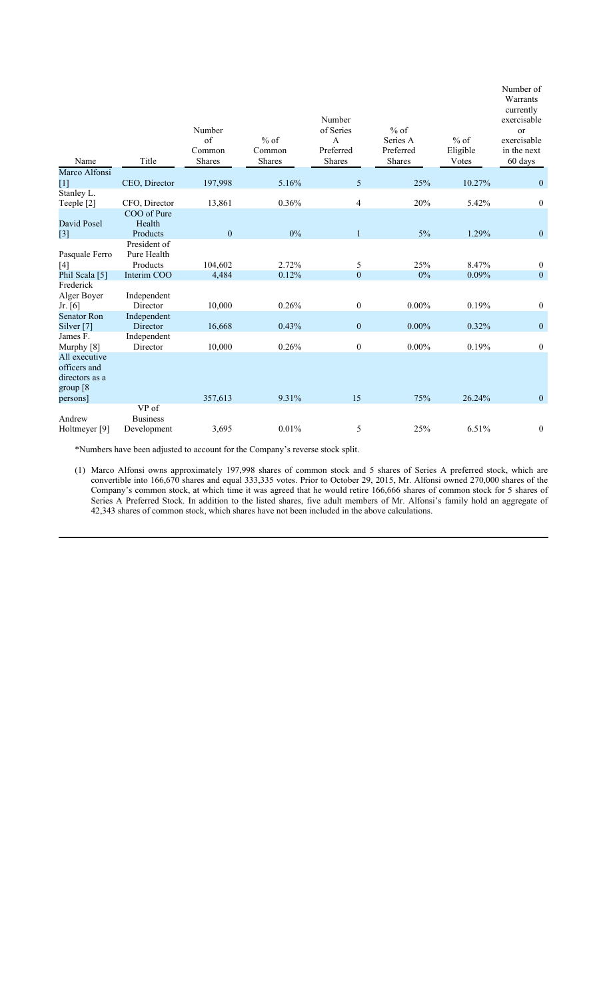| Name                                                                     | Title                                   | Number<br>of<br>Common<br><b>Shares</b> | $%$ of<br>Common<br>Shares | Number<br>of Series<br>$\mathbf{A}$<br>Preferred<br>Shares | $%$ of<br>Series A<br>Preferred<br><b>Shares</b> | $%$ of<br>Eligible<br>Votes | Number of<br>Warrants<br>currently<br>exercisable<br>or<br>exercisable<br>in the next<br>60 days |
|--------------------------------------------------------------------------|-----------------------------------------|-----------------------------------------|----------------------------|------------------------------------------------------------|--------------------------------------------------|-----------------------------|--------------------------------------------------------------------------------------------------|
| Marco Alfonsi                                                            |                                         |                                         |                            |                                                            |                                                  |                             |                                                                                                  |
| $[1]$<br>Stanley L.                                                      | CEO, Director                           | 197,998                                 | 5.16%                      | 5                                                          | 25%                                              | 10.27%                      | $\mathbf{0}$                                                                                     |
| Teeple [2]                                                               | CFO, Director                           | 13,861                                  | 0.36%                      | 4                                                          | 20%                                              | 5.42%                       | $\boldsymbol{0}$                                                                                 |
| David Posel<br>$[3]$                                                     | COO of Pure<br>Health<br>Products       | $\boldsymbol{0}$                        | $0\%$                      | $\mathbf{1}$                                               | $5\%$                                            | 1.29%                       | $\mathbf{0}$                                                                                     |
| Pasquale Ferro<br>$[4]$                                                  | President of<br>Pure Health<br>Products | 104,602                                 | 2.72%                      | 5                                                          | 25%                                              | 8.47%                       | $\bf{0}$                                                                                         |
| Phil Scala [5]                                                           | Interim COO                             | 4,484                                   | 0.12%                      | $\mathbf{0}$                                               | $0\%$                                            | 0.09%                       | $\mathbf{0}$                                                                                     |
| Frederick<br>Alger Boyer<br>Jr. [6]                                      | Independent<br>Director                 | 10,000                                  | 0.26%                      | $\boldsymbol{0}$                                           | $0.00\%$                                         | 0.19%                       | $\boldsymbol{0}$                                                                                 |
| <b>Senator Ron</b><br>Silver <sup>[7]</sup>                              | Independent<br>Director                 | 16,668                                  | 0.43%                      | $\mathbf{0}$                                               | $0.00\%$                                         | 0.32%                       | $\boldsymbol{0}$                                                                                 |
| James F.<br>Murphy [8]                                                   | Independent<br>Director                 | 10,000                                  | 0.26%                      | $\boldsymbol{0}$                                           | $0.00\%$                                         | 0.19%                       | $\boldsymbol{0}$                                                                                 |
| All executive<br>officers and<br>directors as a<br>group [8]<br>persons] |                                         | 357,613                                 | 9.31%                      | 15                                                         | 75%                                              | 26.24%                      | $\mathbf{0}$                                                                                     |
| Andrew<br>Holtmeyer [9]                                                  | VP of<br><b>Business</b><br>Development | 3,695                                   | 0.01%                      | 5                                                          | 25%                                              | 6.51%                       | $\boldsymbol{0}$                                                                                 |

\*Numbers have been adjusted to account for the Company's reverse stock split.

(1) Marco Alfonsi owns approximately 197,998 shares of common stock and 5 shares of Series A preferred stock, which are convertible into 166,670 shares and equal 333,335 votes. Prior to October 29, 2015, Mr. Alfonsi owned 270,000 shares of the Company's common stock, at which time it was agreed that he would retire 166,666 shares of common stock for 5 shares of Series A Preferred Stock. In addition to the listed shares, five adult members of Mr. Alfonsi's family hold an aggregate of 42,343 shares of common stock, which shares have not been included in the above calculations.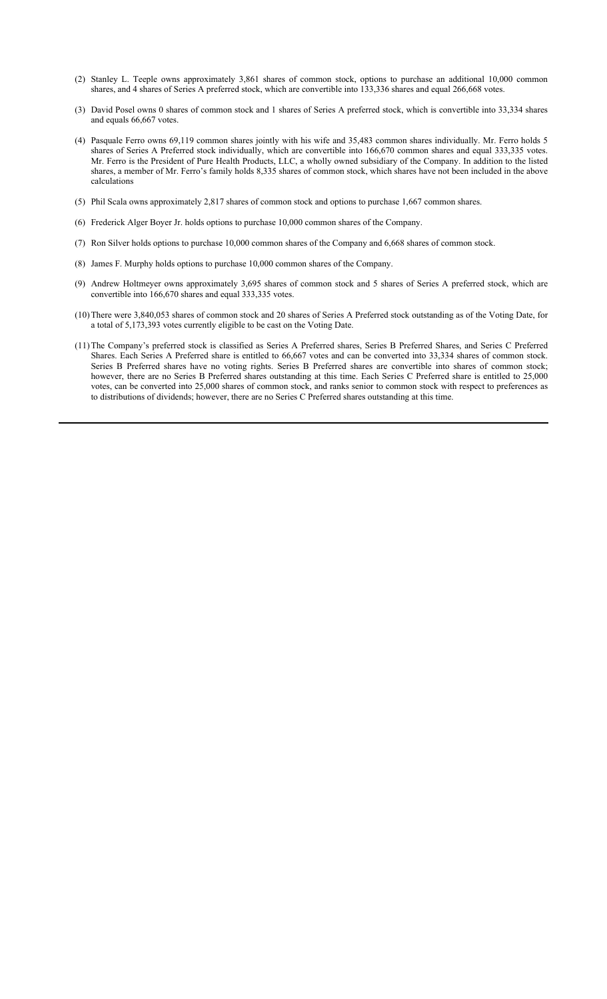- (2) Stanley L. Teeple owns approximately 3,861 shares of common stock, options to purchase an additional 10,000 common shares, and 4 shares of Series A preferred stock, which are convertible into 133,336 shares and equal 266,668 votes.
- (3) David Posel owns 0 shares of common stock and 1 shares of Series A preferred stock, which is convertible into 33,334 shares and equals 66,667 votes.
- (4) Pasquale Ferro owns 69,119 common shares jointly with his wife and 35,483 common shares individually. Mr. Ferro holds 5 shares of Series A Preferred stock individually, which are convertible into 166,670 common shares and equal 333,335 votes. Mr. Ferro is the President of Pure Health Products, LLC, a wholly owned subsidiary of the Company. In addition to the listed shares, a member of Mr. Ferro's family holds 8,335 shares of common stock, which shares have not been included in the above calculations
- (5) Phil Scala owns approximately 2,817 shares of common stock and options to purchase 1,667 common shares.
- (6) Frederick Alger Boyer Jr. holds options to purchase 10,000 common shares of the Company.
- (7) Ron Silver holds options to purchase 10,000 common shares of the Company and 6,668 shares of common stock.
- (8) James F. Murphy holds options to purchase 10,000 common shares of the Company.
- (9) Andrew Holtmeyer owns approximately 3,695 shares of common stock and 5 shares of Series A preferred stock, which are convertible into 166,670 shares and equal 333,335 votes.
- (10) There were 3,840,053 shares of common stock and 20 shares of Series A Preferred stock outstanding as of the Voting Date, for a total of 5,173,393 votes currently eligible to be cast on the Voting Date.
- (11) The Company's preferred stock is classified as Series A Preferred shares, Series B Preferred Shares, and Series C Preferred Shares. Each Series A Preferred share is entitled to 66,667 votes and can be converted into 33,334 shares of common stock. Series B Preferred shares have no voting rights. Series B Preferred shares are convertible into shares of common stock; however, there are no Series B Preferred shares outstanding at this time. Each Series C Preferred share is entitled to 25,000 votes, can be converted into 25,000 shares of common stock, and ranks senior to common stock with respect to preferences as to distributions of dividends; however, there are no Series C Preferred shares outstanding at this time.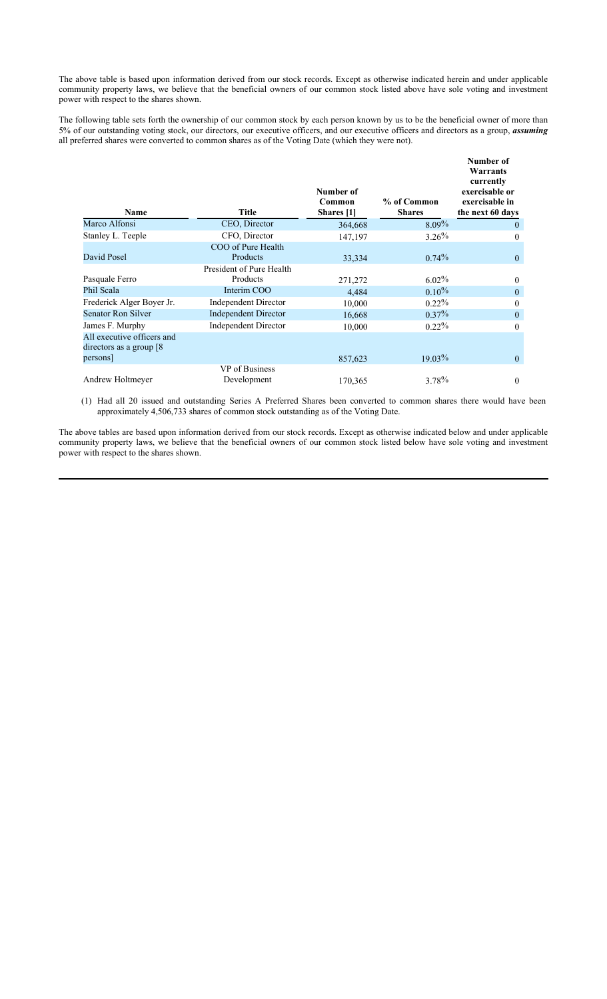The above table is based upon information derived from our stock records. Except as otherwise indicated herein and under applicable community property laws, we believe that the beneficial owners of our common stock listed above have sole voting and investment power with respect to the shares shown.

The following table sets forth the ownership of our common stock by each person known by us to be the beneficial owner of more than 5% of our outstanding voting stock, our directors, our executive officers, and our executive officers and directors as a group, *assuming* all preferred shares were converted to common shares as of the Voting Date (which they were not).

| Name                                                                | <b>Title</b>                                               | Number of<br>Common<br>Shares [1] | % of Common<br><b>Shares</b> | Number of<br>Warrants<br>currently<br>exercisable or<br>exercisable in<br>the next 60 days |
|---------------------------------------------------------------------|------------------------------------------------------------|-----------------------------------|------------------------------|--------------------------------------------------------------------------------------------|
| Marco Alfonsi                                                       | CEO, Director                                              | 364,668                           | $8.09\%$                     | $\mathbf{0}$                                                                               |
| Stanley L. Teeple                                                   | CFO, Director                                              | 147,197                           | 3.26%                        | $\theta$                                                                                   |
| David Posel                                                         | COO of Pure Health<br>Products<br>President of Pure Health | 33,334                            | $0.74\%$                     | $\mathbf{0}$                                                                               |
| Pasquale Ferro                                                      | Products                                                   | 271,272                           | $6.02\%$                     | $\mathbf{0}$                                                                               |
| Phil Scala                                                          | Interim COO                                                | 4,484                             | $0.10\%$                     | $\mathbf{0}$                                                                               |
| Frederick Alger Boyer Jr.                                           | <b>Independent Director</b>                                | 10,000                            | $0.22\%$                     | $\mathbf{0}$                                                                               |
| Senator Ron Silver                                                  | <b>Independent Director</b>                                | 16,668                            | $0.37\%$                     | $\mathbf{0}$                                                                               |
| James F. Murphy                                                     | <b>Independent Director</b>                                | 10,000                            | $0.22\%$                     | $\theta$                                                                                   |
| All executive officers and<br>directors as a group $[8]$<br>persons |                                                            | 857,623                           | $19.03\%$                    | $\theta$                                                                                   |
| Andrew Holtmeyer                                                    | VP of Business<br>Development                              | 170,365                           | 3.78%                        | $\mathbf{0}$                                                                               |

(1) Had all 20 issued and outstanding Series A Preferred Shares been converted to common shares there would have been approximately 4,506,733 shares of common stock outstanding as of the Voting Date.

The above tables are based upon information derived from our stock records. Except as otherwise indicated below and under applicable community property laws, we believe that the beneficial owners of our common stock listed below have sole voting and investment power with respect to the shares shown.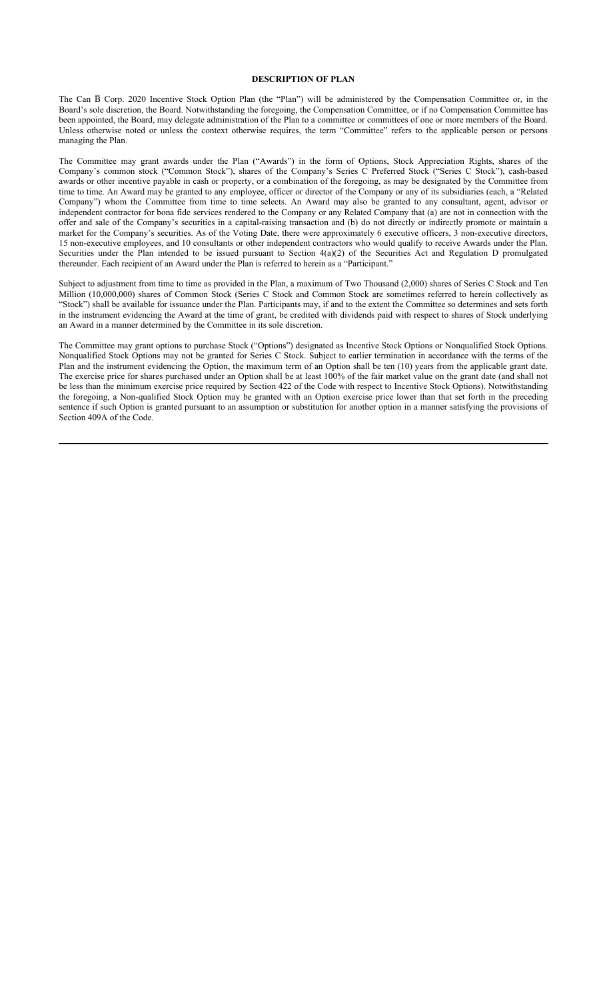# **DESCRIPTION OF PLAN**

The Can  $\bar{B}$  Corp. 2020 Incentive Stock Option Plan (the "Plan") will be administered by the Compensation Committee or, in the Board's sole discretion, the Board. Notwithstanding the foregoing, the Compensation Committee, or if no Compensation Committee has been appointed, the Board, may delegate administration of the Plan to a committee or committees of one or more members of the Board. Unless otherwise noted or unless the context otherwise requires, the term "Committee" refers to the applicable person or persons managing the Plan.

The Committee may grant awards under the Plan ("Awards") in the form of Options, Stock Appreciation Rights, shares of the Company's common stock ("Common Stock"), shares of the Company's Series C Preferred Stock ("Series C Stock"), cash-based awards or other incentive payable in cash or property, or a combination of the foregoing, as may be designated by the Committee from time to time. An Award may be granted to any employee, officer or director of the Company or any of its subsidiaries (each, a "Related Company") whom the Committee from time to time selects. An Award may also be granted to any consultant, agent, advisor or independent contractor for bona fide services rendered to the Company or any Related Company that (a) are not in connection with the offer and sale of the Company's securities in a capital-raising transaction and (b) do not directly or indirectly promote or maintain a market for the Company's securities. As of the Voting Date, there were approximately 6 executive officers, 3 non-executive directors, 15 non-executive employees, and 10 consultants or other independent contractors who would qualify to receive Awards under the Plan. Securities under the Plan intended to be issued pursuant to Section  $4(a)(2)$  of the Securities Act and Regulation D promulgated thereunder. Each recipient of an Award under the Plan is referred to herein as a "Participant."

Subject to adjustment from time to time as provided in the Plan, a maximum of Two Thousand (2,000) shares of Series C Stock and Ten Million (10,000,000) shares of Common Stock (Series C Stock and Common Stock are sometimes referred to herein collectively as "Stock") shall be available for issuance under the Plan. Participants may, if and to the extent the Committee so determines and sets forth in the instrument evidencing the Award at the time of grant, be credited with dividends paid with respect to shares of Stock underlying an Award in a manner determined by the Committee in its sole discretion.

The Committee may grant options to purchase Stock ("Options") designated as Incentive Stock Options or Nonqualified Stock Options. Nonqualified Stock Options may not be granted for Series C Stock. Subject to earlier termination in accordance with the terms of the Plan and the instrument evidencing the Option, the maximum term of an Option shall be ten (10) years from the applicable grant date. The exercise price for shares purchased under an Option shall be at least 100% of the fair market value on the grant date (and shall not be less than the minimum exercise price required by Section 422 of the Code with respect to Incentive Stock Options). Notwithstanding the foregoing, a Non-qualified Stock Option may be granted with an Option exercise price lower than that set forth in the preceding sentence if such Option is granted pursuant to an assumption or substitution for another option in a manner satisfying the provisions of Section 409A of the Code.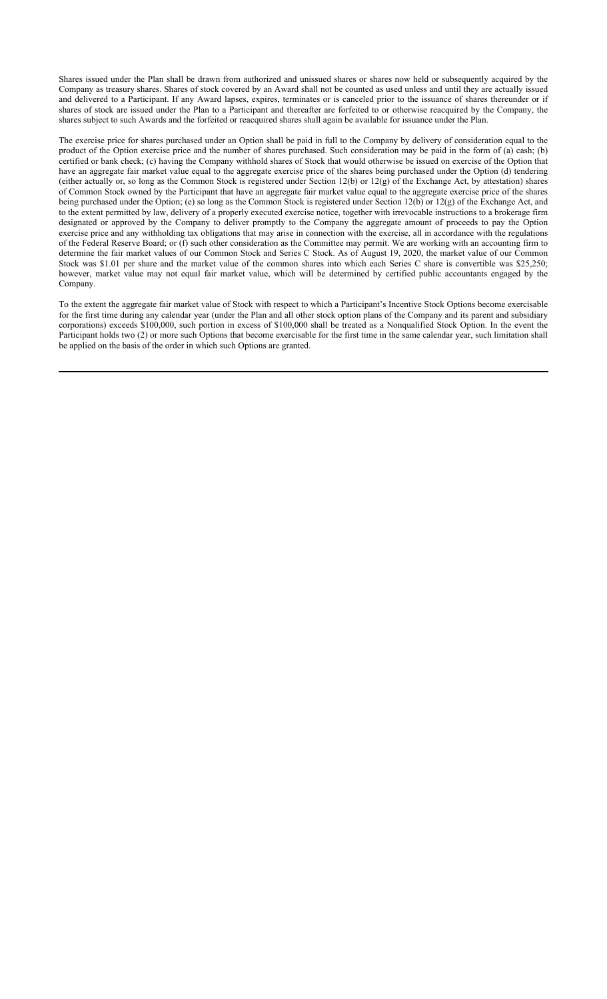Shares issued under the Plan shall be drawn from authorized and unissued shares or shares now held or subsequently acquired by the Company as treasury shares. Shares of stock covered by an Award shall not be counted as used unless and until they are actually issued and delivered to a Participant. If any Award lapses, expires, terminates or is canceled prior to the issuance of shares thereunder or if shares of stock are issued under the Plan to a Participant and thereafter are forfeited to or otherwise reacquired by the Company, the shares subject to such Awards and the forfeited or reacquired shares shall again be available for issuance under the Plan.

The exercise price for shares purchased under an Option shall be paid in full to the Company by delivery of consideration equal to the product of the Option exercise price and the number of shares purchased. Such consideration may be paid in the form of (a) cash; (b) certified or bank check; (c) having the Company withhold shares of Stock that would otherwise be issued on exercise of the Option that have an aggregate fair market value equal to the aggregate exercise price of the shares being purchased under the Option (d) tendering (either actually or, so long as the Common Stock is registered under Section 12(b) or 12(g) of the Exchange Act, by attestation) shares of Common Stock owned by the Participant that have an aggregate fair market value equal to the aggregate exercise price of the shares being purchased under the Option; (e) so long as the Common Stock is registered under Section 12(b) or 12(g) of the Exchange Act, and to the extent permitted by law, delivery of a properly executed exercise notice, together with irrevocable instructions to a brokerage firm designated or approved by the Company to deliver promptly to the Company the aggregate amount of proceeds to pay the Option exercise price and any withholding tax obligations that may arise in connection with the exercise, all in accordance with the regulations of the Federal Reserve Board; or (f) such other consideration as the Committee may permit. We are working with an accounting firm to determine the fair market values of our Common Stock and Series C Stock. As of August 19, 2020, the market value of our Common Stock was \$1.01 per share and the market value of the common shares into which each Series C share is convertible was \$25,250; however, market value may not equal fair market value, which will be determined by certified public accountants engaged by the Company.

To the extent the aggregate fair market value of Stock with respect to which a Participant's Incentive Stock Options become exercisable for the first time during any calendar year (under the Plan and all other stock option plans of the Company and its parent and subsidiary corporations) exceeds \$100,000, such portion in excess of \$100,000 shall be treated as a Nonqualified Stock Option. In the event the Participant holds two (2) or more such Options that become exercisable for the first time in the same calendar year, such limitation shall be applied on the basis of the order in which such Options are granted.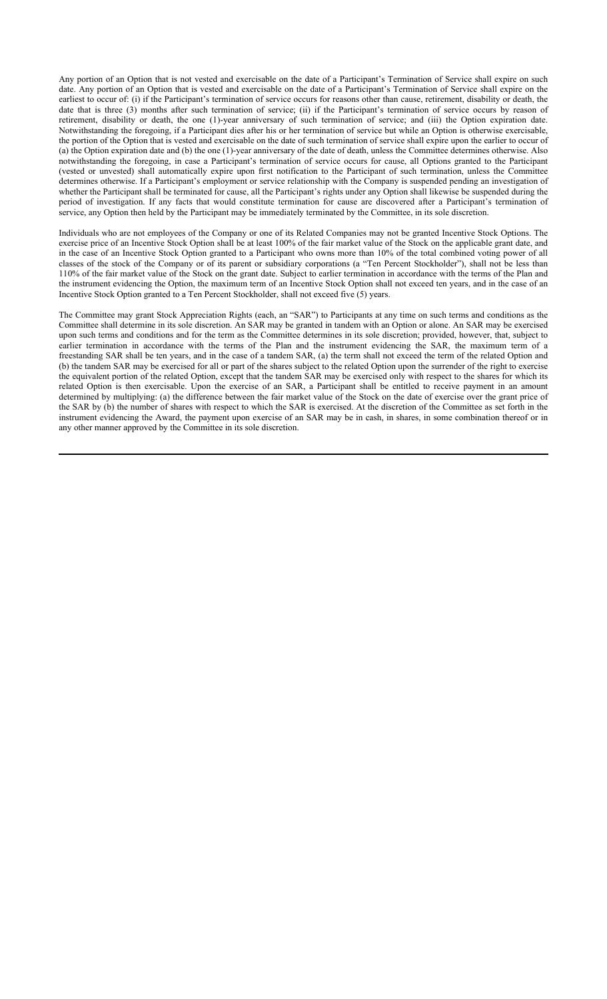Any portion of an Option that is not vested and exercisable on the date of a Participant's Termination of Service shall expire on such date. Any portion of an Option that is vested and exercisable on the date of a Participant's Termination of Service shall expire on the earliest to occur of: (i) if the Participant's termination of service occurs for reasons other than cause, retirement, disability or death, the date that is three (3) months after such termination of service; (ii) if the Participant's termination of service occurs by reason of retirement, disability or death, the one (1)-year anniversary of such termination of service; and (iii) the Option expiration date. Notwithstanding the foregoing, if a Participant dies after his or her termination of service but while an Option is otherwise exercisable, the portion of the Option that is vested and exercisable on the date of such termination of service shall expire upon the earlier to occur of (a) the Option expiration date and (b) the one (1)-year anniversary of the date of death, unless the Committee determines otherwise. Also notwithstanding the foregoing, in case a Participant's termination of service occurs for cause, all Options granted to the Participant (vested or unvested) shall automatically expire upon first notification to the Participant of such termination, unless the Committee determines otherwise. If a Participant's employment or service relationship with the Company is suspended pending an investigation of whether the Participant shall be terminated for cause, all the Participant's rights under any Option shall likewise be suspended during the period of investigation. If any facts that would constitute termination for cause are discovered after a Participant's termination of service, any Option then held by the Participant may be immediately terminated by the Committee, in its sole discretion.

Individuals who are not employees of the Company or one of its Related Companies may not be granted Incentive Stock Options. The exercise price of an Incentive Stock Option shall be at least 100% of the fair market value of the Stock on the applicable grant date, and in the case of an Incentive Stock Option granted to a Participant who owns more than 10% of the total combined voting power of all classes of the stock of the Company or of its parent or subsidiary corporations (a "Ten Percent Stockholder"), shall not be less than 110% of the fair market value of the Stock on the grant date. Subject to earlier termination in accordance with the terms of the Plan and the instrument evidencing the Option, the maximum term of an Incentive Stock Option shall not exceed ten years, and in the case of an Incentive Stock Option granted to a Ten Percent Stockholder, shall not exceed five (5) years.

The Committee may grant Stock Appreciation Rights (each, an "SAR") to Participants at any time on such terms and conditions as the Committee shall determine in its sole discretion. An SAR may be granted in tandem with an Option or alone. An SAR may be exercised upon such terms and conditions and for the term as the Committee determines in its sole discretion; provided, however, that, subject to earlier termination in accordance with the terms of the Plan and the instrument evidencing the SAR, the maximum term of a freestanding SAR shall be ten years, and in the case of a tandem SAR, (a) the term shall not exceed the term of the related Option and (b) the tandem SAR may be exercised for all or part of the shares subject to the related Option upon the surrender of the right to exercise the equivalent portion of the related Option, except that the tandem SAR may be exercised only with respect to the shares for which its related Option is then exercisable. Upon the exercise of an SAR, a Participant shall be entitled to receive payment in an amount determined by multiplying: (a) the difference between the fair market value of the Stock on the date of exercise over the grant price of the SAR by (b) the number of shares with respect to which the SAR is exercised. At the discretion of the Committee as set forth in the instrument evidencing the Award, the payment upon exercise of an SAR may be in cash, in shares, in some combination thereof or in any other manner approved by the Committee in its sole discretion.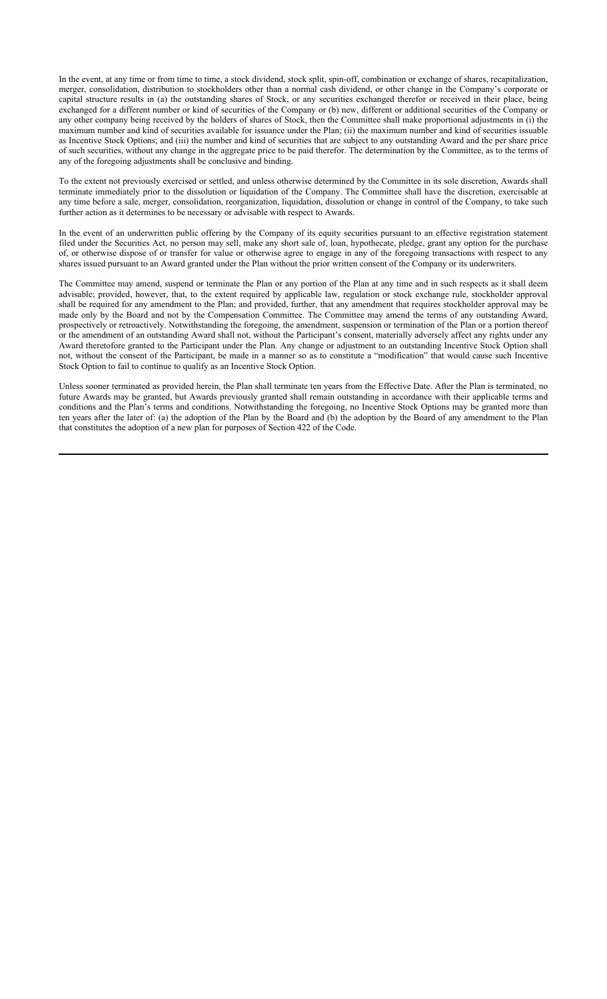In the event, at any time or from time to time, a stock dividend, stock split, spin-off, combination or exchange of shares, recapitalization, merger, consolidation, distribution to stockholders other than a normal cash dividend, or other change in the Company's corporate or capital structure results in (a) the outstanding shares of Stock, or any securities exchanged therefor or received in their place, being exchanged for a different number or kind of securities of the Company or (b) new, different or additional securities of the Company or any other company being received by the holders of shares of Stock, then the Committee shall make proportional adjustments in (i) the maximum number and kind of securities available for issuance under the Plan; (ii) the maximum number and kind of securities issuable as Incentive Stock Options; and (iii) the number and kind of securities that are subject to any outstanding Award and the per share price of such securities, without any change in the aggregate price to be paid therefor. The determination by the Committee, as to the terms of any of the foregoing adjustments shall be conclusive and binding.

To the extent not previously exercised or settled, and unless otherwise determined by the Committee in its sole discretion, Awards shall terminate immediately prior to the dissolution or liquidation of the Company. The Committee shall have the discretion, exercisable at any time before a sale, merger, consolidation, reorganization, liquidation, dissolution or change in control of the Company, to take such further action as it determines to be necessary or advisable with respect to Awards.

In the event of an underwritten public offering by the Company of its equity securities pursuant to an effective registration statement filed under the Securities Act, no person may sell, make any short sale of, loan, hypothecate, pledge, grant any option for the purchase of, or otherwise dispose of or transfer for value or otherwise agree to engage in any of the foregoing transactions with respect to any shares issued pursuant to an Award granted under the Plan without the prior written consent of the Company or its underwriters.

The Committee may amend, suspend or terminate the Plan or any portion of the Plan at any time and in such respects as it shall deem advisable; provided, however, that, to the extent required by applicable law, regulation or stock exchange rule, stockholder approval shall be required for any amendment to the Plan; and provided, further, that any amendment that requires stockholder approval may be made only by the Board and not by the Compensation Committee. The Committee may amend the terms of any outstanding Award, prospectively or retroactively. Notwithstanding the foregoing, the amendment, suspension or termination of the Plan or a portion thereof or the amendment of an outstanding Award shall not, without the Participant's consent, materially adversely affect any rights under any Award theretofore granted to the Participant under the Plan. Any change or adjustment to an outstanding Incentive Stock Option shall not, without the consent of the Participant, be made in a manner so as to constitute a "modification" that would cause such Incentive Stock Option to fail to continue to qualify as an Incentive Stock Option.

Unless sooner terminated as provided herein, the Plan shall terminate ten years from the Effective Date. After the Plan is terminated, no future Awards may be granted, but Awards previously granted shall remain outstanding in accordance with their applicable terms and conditions and the Plan's terms and conditions. Notwithstanding the foregoing, no Incentive Stock Options may be granted more than ten years after the later of: (a) the adoption of the Plan by the Board and (b) the adoption by the Board of any amendment to the Plan that constitutes the adoption of a new plan for purposes of Section 422 of the Code.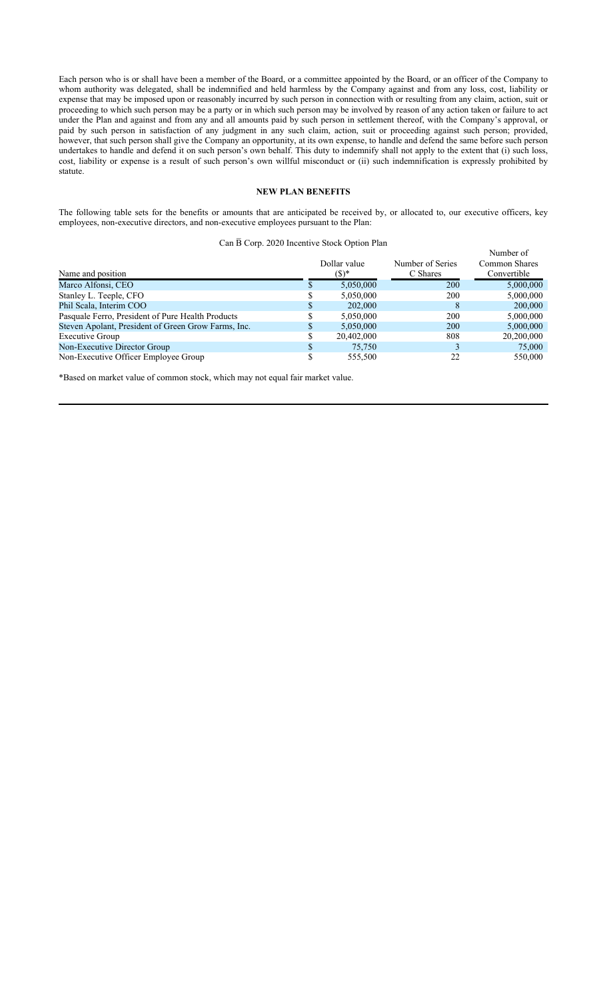Each person who is or shall have been a member of the Board, or a committee appointed by the Board, or an officer of the Company to whom authority was delegated, shall be indemnified and held harmless by the Company against and from any loss, cost, liability or expense that may be imposed upon or reasonably incurred by such person in connection with or resulting from any claim, action, suit or proceeding to which such person may be a party or in which such person may be involved by reason of any action taken or failure to act under the Plan and against and from any and all amounts paid by such person in settlement thereof, with the Company's approval, or paid by such person in satisfaction of any judgment in any such claim, action, suit or proceeding against such person; provided, however, that such person shall give the Company an opportunity, at its own expense, to handle and defend the same before such person undertakes to handle and defend it on such person's own behalf. This duty to indemnify shall not apply to the extent that (i) such loss, cost, liability or expense is a result of such person's own willful misconduct or (ii) such indemnification is expressly prohibited by statute.

# **NEW PLAN BENEFITS**

The following table sets for the benefits or amounts that are anticipated be received by, or allocated to, our executive officers, key employees, non-executive directors, and non-executive employees pursuant to the Plan:

#### Can  $\bar{B}$  Corp. 2020 Incentive Stock Option Plan

Number of

| Name and position                                   |    | Dollar value<br>$($ \$)* | Number of Series<br>C Shares | <b>IVUHIDU VI</b><br>Common Shares<br>Convertible |
|-----------------------------------------------------|----|--------------------------|------------------------------|---------------------------------------------------|
| Marco Alfonsi, CEO                                  | ۰D | 5,050,000                | 200                          | 5,000,000                                         |
| Stanley L. Teeple, CFO                              |    | 5,050,000                | 200                          | 5,000,000                                         |
| Phil Scala, Interim COO                             | Ф  | 202,000                  |                              | 200,000                                           |
| Pasquale Ferro, President of Pure Health Products   | кD | 5,050,000                | 200                          | 5,000,000                                         |
| Steven Apolant, President of Green Grow Farms, Inc. | \$ | 5.050.000                | 200                          | 5,000,000                                         |
| Executive Group                                     |    | 20,402,000               | 808                          | 20,200,000                                        |
| Non-Executive Director Group                        | J. | 75,750                   |                              | 75,000                                            |
| Non-Executive Officer Employee Group                |    | 555,500                  | 22                           | 550,000                                           |
|                                                     |    |                          |                              |                                                   |

\*Based on market value of common stock, which may not equal fair market value.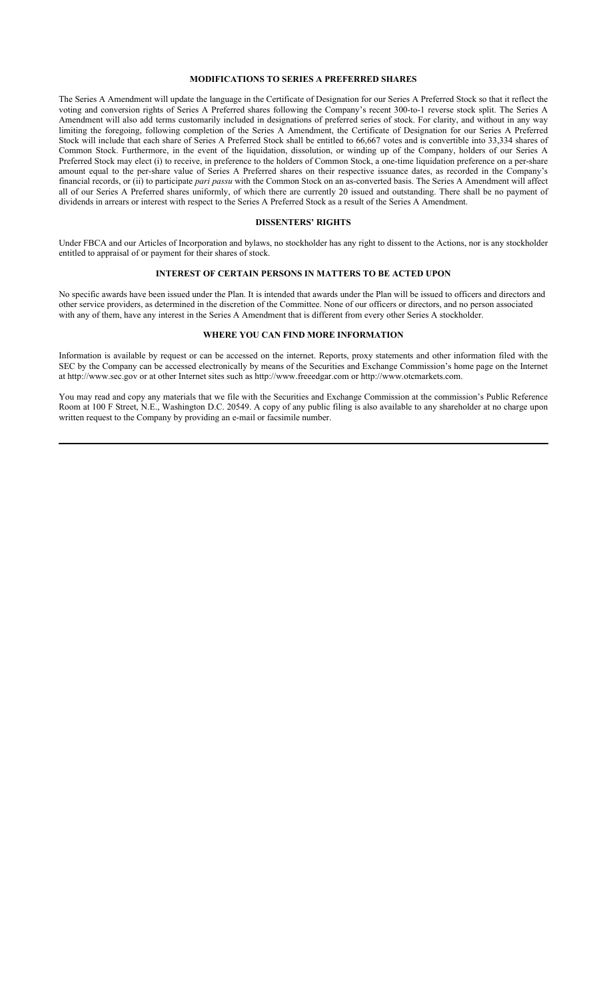# **MODIFICATIONS TO SERIES A PREFERRED SHARES**

The Series A Amendment will update the language in the Certificate of Designation for our Series A Preferred Stock so that it reflect the voting and conversion rights of Series A Preferred shares following the Company's recent 300-to-1 reverse stock split. The Series A Amendment will also add terms customarily included in designations of preferred series of stock. For clarity, and without in any way limiting the foregoing, following completion of the Series A Amendment, the Certificate of Designation for our Series A Preferred Stock will include that each share of Series A Preferred Stock shall be entitled to 66,667 votes and is convertible into 33,334 shares of Common Stock. Furthermore, in the event of the liquidation, dissolution, or winding up of the Company, holders of our Series A Preferred Stock may elect (i) to receive, in preference to the holders of Common Stock, a one-time liquidation preference on a per-share amount equal to the per-share value of Series A Preferred shares on their respective issuance dates, as recorded in the Company's financial records, or (ii) to participate *pari passu* with the Common Stock on an as-converted basis. The Series A Amendment will affect all of our Series A Preferred shares uniformly, of which there are currently 20 issued and outstanding. There shall be no payment of dividends in arrears or interest with respect to the Series A Preferred Stock as a result of the Series A Amendment.

#### **DISSENTERS' RIGHTS**

Under FBCA and our Articles of Incorporation and bylaws, no stockholder has any right to dissent to the Actions, nor is any stockholder entitled to appraisal of or payment for their shares of stock.

# **INTEREST OF CERTAIN PERSONS IN MATTERS TO BE ACTED UPON**

No specific awards have been issued under the Plan. It is intended that awards under the Plan will be issued to officers and directors and other service providers, as determined in the discretion of the Committee. None of our officers or directors, and no person associated with any of them, have any interest in the Series A Amendment that is different from every other Series A stockholder.

# **WHERE YOU CAN FIND MORE INFORMATION**

Information is available by request or can be accessed on the internet. Reports, proxy statements and other information filed with the SEC by the Company can be accessed electronically by means of the Securities and Exchange Commission's home page on the Internet at http://www.sec.gov or at other Internet sites such as http://www.freeedgar.com or http://www.otcmarkets.com.

You may read and copy any materials that we file with the Securities and Exchange Commission at the commission's Public Reference Room at 100 F Street, N.E., Washington D.C. 20549. A copy of any public filing is also available to any shareholder at no charge upon written request to the Company by providing an e-mail or facsimile number.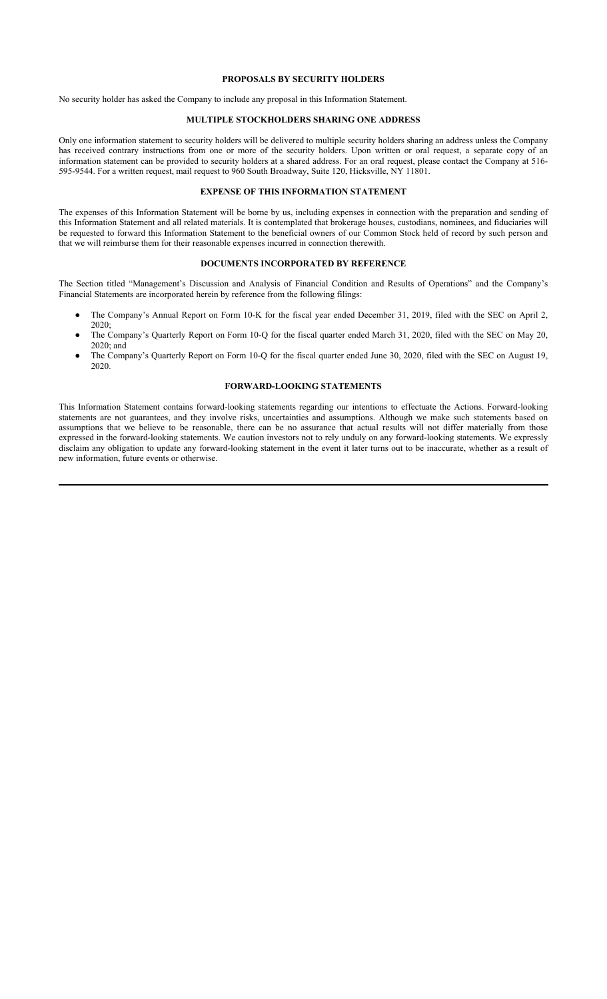# **PROPOSALS BY SECURITY HOLDERS**

No security holder has asked the Company to include any proposal in this Information Statement.

# **MULTIPLE STOCKHOLDERS SHARING ONE ADDRESS**

Only one information statement to security holders will be delivered to multiple security holders sharing an address unless the Company has received contrary instructions from one or more of the security holders. Upon written or oral request, a separate copy of an information statement can be provided to security holders at a shared address. For an oral request, please contact the Company at 516- 595-9544. For a written request, mail request to 960 South Broadway, Suite 120, Hicksville, NY 11801.

#### **EXPENSE OF THIS INFORMATION STATEMENT**

The expenses of this Information Statement will be borne by us, including expenses in connection with the preparation and sending of this Information Statement and all related materials. It is contemplated that brokerage houses, custodians, nominees, and fiduciaries will be requested to forward this Information Statement to the beneficial owners of our Common Stock held of record by such person and that we will reimburse them for their reasonable expenses incurred in connection therewith.

#### **DOCUMENTS INCORPORATED BY REFERENCE**

The Section titled "Management's Discussion and Analysis of Financial Condition and Results of Operations" and the Company's Financial Statements are incorporated herein by reference from the following filings:

- The Company's Annual Report on Form 10-K for the fiscal year ended December 31, 2019, filed with the SEC on April 2, 2020;
- The Company's Quarterly Report on Form 10-Q for the fiscal quarter ended March 31, 2020, filed with the SEC on May 20, 2020; and
- The Company's Quarterly Report on Form 10-Q for the fiscal quarter ended June 30, 2020, filed with the SEC on August 19, 2020.

# **FORWARD-LOOKING STATEMENTS**

This Information Statement contains forward-looking statements regarding our intentions to effectuate the Actions. Forward-looking statements are not guarantees, and they involve risks, uncertainties and assumptions. Although we make such statements based on assumptions that we believe to be reasonable, there can be no assurance that actual results will not differ materially from those expressed in the forward-looking statements. We caution investors not to rely unduly on any forward-looking statements. We expressly disclaim any obligation to update any forward-looking statement in the event it later turns out to be inaccurate, whether as a result of new information, future events or otherwise.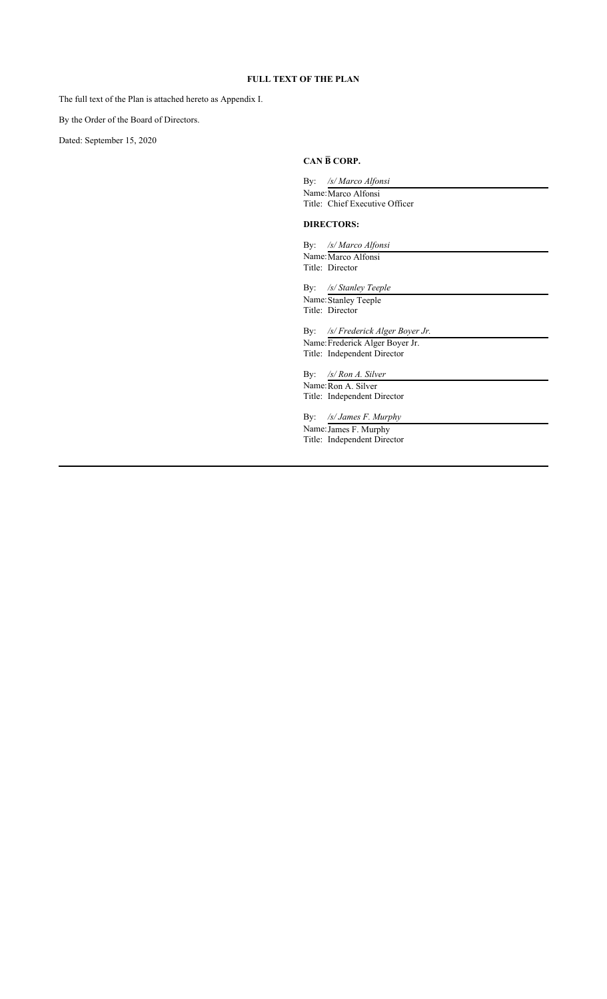# **FULL TEXT OF THE PLAN**

The full text of the Plan is attached hereto as Appendix I.

By the Order of the Board of Directors.

Dated: September 15, 2020

# **CAN B̅ CORP.**

| By:        | /s/ Marco Alfonsi                                    |
|------------|------------------------------------------------------|
|            | Name: Marco Alfonsi                                  |
|            | Title: Chief Executive Officer                       |
|            | <b>DIRECTORS:</b>                                    |
|            | By: /s/ Marco Alfonsi                                |
|            | Name: Marco Alfonsi                                  |
|            | Title: Director                                      |
| By:        | /s/ Stanley Teeple                                   |
|            | Name: Stanley Teeple                                 |
|            | Title: Director                                      |
| $\rm\,By:$ | /s/ Frederick Alger Boyer Jr.                        |
|            | Name: Frederick Alger Boyer Jr.                      |
|            | Title: Independent Director                          |
| By:        | $\sqrt{s}$ Ron A. Silver                             |
|            | Name: Ron A. Silver                                  |
|            | Title: Independent Director                          |
| By:        | /s/ James F. Murphy                                  |
|            |                                                      |
|            |                                                      |
|            | Name: James F. Murphy<br>Title: Independent Director |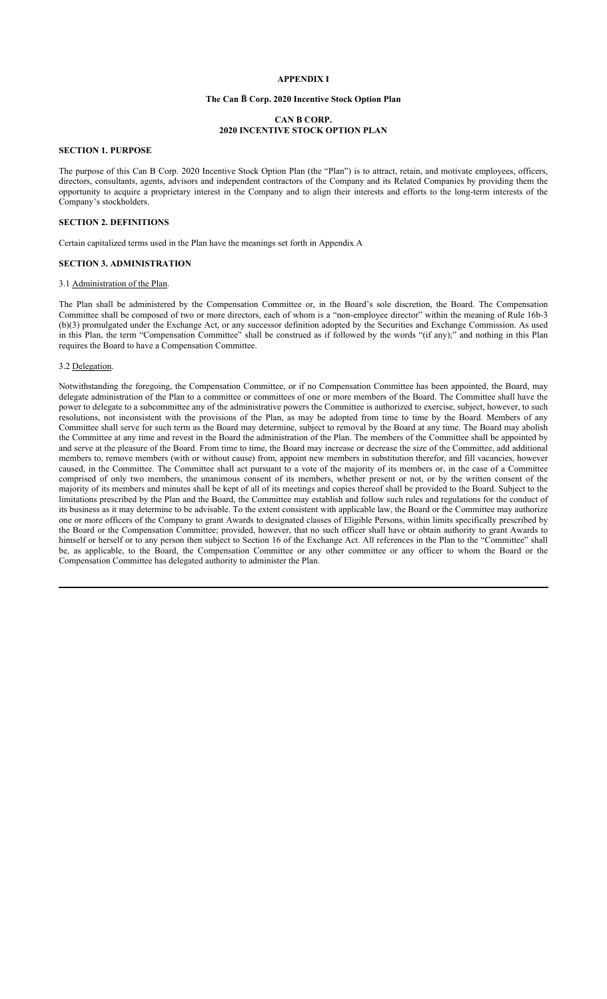# **APPENDIX I**

# **The Can B̅ Corp. 2020 Incentive Stock Option Plan**

# **CAN B CORP. 2020 INCENTIVE STOCK OPTION PLAN**

# **SECTION 1. PURPOSE**

The purpose of this Can B Corp. 2020 Incentive Stock Option Plan (the "Plan") is to attract, retain, and motivate employees, officers, directors, consultants, agents, advisors and independent contractors of the Company and its Related Companies by providing them the opportunity to acquire a proprietary interest in the Company and to align their interests and efforts to the long-term interests of the Company's stockholders.

#### **SECTION 2. DEFINITIONS**

Certain capitalized terms used in the Plan have the meanings set forth in Appendix A

#### **SECTION 3. ADMINISTRATION**

# 3.1 Administration of the Plan.

The Plan shall be administered by the Compensation Committee or, in the Board's sole discretion, the Board. The Compensation Committee shall be composed of two or more directors, each of whom is a "non-employee director" within the meaning of Rule 16b-3 (b)(3) promulgated under the Exchange Act, or any successor definition adopted by the Securities and Exchange Commission. As used in this Plan, the term "Compensation Committee" shall be construed as if followed by the words "(if any);" and nothing in this Plan requires the Board to have a Compensation Committee.

#### 3.2 Delegation.

Notwithstanding the foregoing, the Compensation Committee, or if no Compensation Committee has been appointed, the Board, may delegate administration of the Plan to a committee or committees of one or more members of the Board. The Committee shall have the power to delegate to a subcommittee any of the administrative powers the Committee is authorized to exercise, subject, however, to such resolutions, not inconsistent with the provisions of the Plan, as may be adopted from time to time by the Board. Members of any Committee shall serve for such term as the Board may determine, subject to removal by the Board at any time. The Board may abolish the Committee at any time and revest in the Board the administration of the Plan. The members of the Committee shall be appointed by and serve at the pleasure of the Board. From time to time, the Board may increase or decrease the size of the Committee, add additional members to, remove members (with or without cause) from, appoint new members in substitution therefor, and fill vacancies, however caused, in the Committee. The Committee shall act pursuant to a vote of the majority of its members or, in the case of a Committee comprised of only two members, the unanimous consent of its members, whether present or not, or by the written consent of the majority of its members and minutes shall be kept of all of its meetings and copies thereof shall be provided to the Board. Subject to the limitations prescribed by the Plan and the Board, the Committee may establish and follow such rules and regulations for the conduct of its business as it may determine to be advisable. To the extent consistent with applicable law, the Board or the Committee may authorize one or more officers of the Company to grant Awards to designated classes of Eligible Persons, within limits specifically prescribed by the Board or the Compensation Committee; provided, however, that no such officer shall have or obtain authority to grant Awards to himself or herself or to any person then subject to Section 16 of the Exchange Act. All references in the Plan to the "Committee" shall be, as applicable, to the Board, the Compensation Committee or any other committee or any officer to whom the Board or the Compensation Committee has delegated authority to administer the Plan.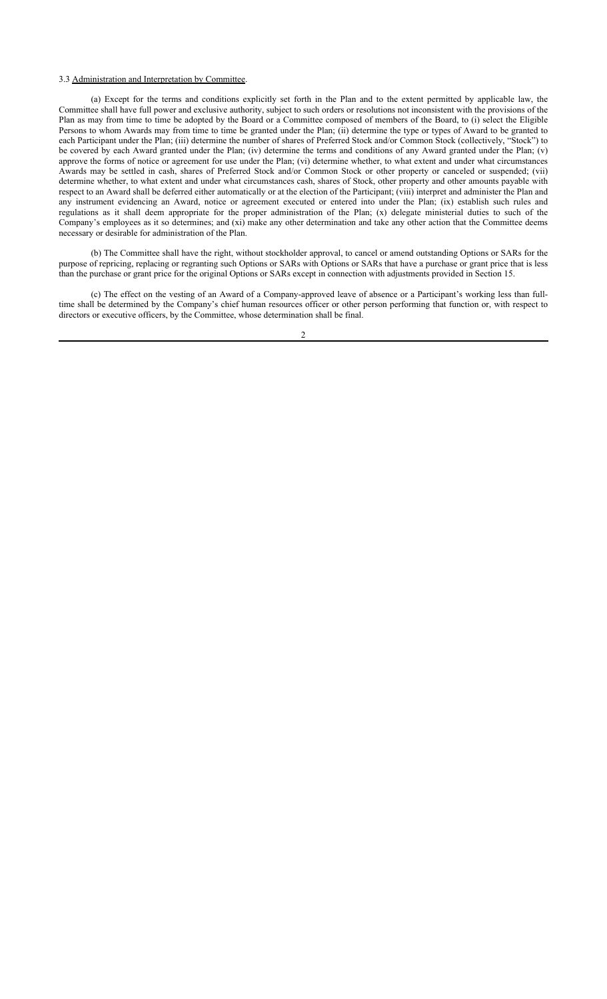#### 3.3 Administration and Interpretation by Committee.

(a) Except for the terms and conditions explicitly set forth in the Plan and to the extent permitted by applicable law, the Committee shall have full power and exclusive authority, subject to such orders or resolutions not inconsistent with the provisions of the Plan as may from time to time be adopted by the Board or a Committee composed of members of the Board, to (i) select the Eligible Persons to whom Awards may from time to time be granted under the Plan; (ii) determine the type or types of Award to be granted to each Participant under the Plan; (iii) determine the number of shares of Preferred Stock and/or Common Stock (collectively, "Stock") to be covered by each Award granted under the Plan; (iv) determine the terms and conditions of any Award granted under the Plan; (v) approve the forms of notice or agreement for use under the Plan; (vi) determine whether, to what extent and under what circumstances Awards may be settled in cash, shares of Preferred Stock and/or Common Stock or other property or canceled or suspended; (vii) determine whether, to what extent and under what circumstances cash, shares of Stock, other property and other amounts payable with respect to an Award shall be deferred either automatically or at the election of the Participant; (viii) interpret and administer the Plan and any instrument evidencing an Award, notice or agreement executed or entered into under the Plan; (ix) establish such rules and regulations as it shall deem appropriate for the proper administration of the Plan; (x) delegate ministerial duties to such of the Company's employees as it so determines; and (xi) make any other determination and take any other action that the Committee deems necessary or desirable for administration of the Plan.

(b) The Committee shall have the right, without stockholder approval, to cancel or amend outstanding Options or SARs for the purpose of repricing, replacing or regranting such Options or SARs with Options or SARs that have a purchase or grant price that is less than the purchase or grant price for the original Options or SARs except in connection with adjustments provided in Section 15.

(c) The effect on the vesting of an Award of a Company-approved leave of absence or a Participant's working less than fulltime shall be determined by the Company's chief human resources officer or other person performing that function or, with respect to directors or executive officers, by the Committee, whose determination shall be final.

 $\overline{2}$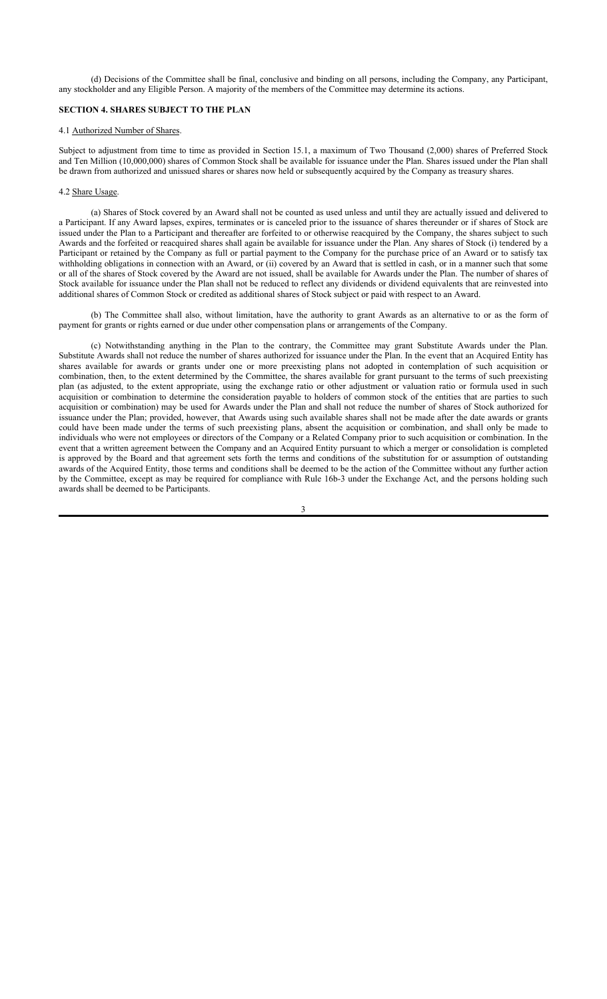(d) Decisions of the Committee shall be final, conclusive and binding on all persons, including the Company, any Participant, any stockholder and any Eligible Person. A majority of the members of the Committee may determine its actions.

# **SECTION 4. SHARES SUBJECT TO THE PLAN**

#### 4.1 Authorized Number of Shares.

Subject to adjustment from time to time as provided in Section 15.1, a maximum of Two Thousand (2,000) shares of Preferred Stock and Ten Million (10,000,000) shares of Common Stock shall be available for issuance under the Plan. Shares issued under the Plan shall be drawn from authorized and unissued shares or shares now held or subsequently acquired by the Company as treasury shares.

#### 4.2 Share Usage.

(a) Shares of Stock covered by an Award shall not be counted as used unless and until they are actually issued and delivered to a Participant. If any Award lapses, expires, terminates or is canceled prior to the issuance of shares thereunder or if shares of Stock are issued under the Plan to a Participant and thereafter are forfeited to or otherwise reacquired by the Company, the shares subject to such Awards and the forfeited or reacquired shares shall again be available for issuance under the Plan. Any shares of Stock (i) tendered by a Participant or retained by the Company as full or partial payment to the Company for the purchase price of an Award or to satisfy tax withholding obligations in connection with an Award, or (ii) covered by an Award that is settled in cash, or in a manner such that some or all of the shares of Stock covered by the Award are not issued, shall be available for Awards under the Plan. The number of shares of Stock available for issuance under the Plan shall not be reduced to reflect any dividends or dividend equivalents that are reinvested into additional shares of Common Stock or credited as additional shares of Stock subject or paid with respect to an Award.

(b) The Committee shall also, without limitation, have the authority to grant Awards as an alternative to or as the form of payment for grants or rights earned or due under other compensation plans or arrangements of the Company.

(c) Notwithstanding anything in the Plan to the contrary, the Committee may grant Substitute Awards under the Plan. Substitute Awards shall not reduce the number of shares authorized for issuance under the Plan. In the event that an Acquired Entity has shares available for awards or grants under one or more preexisting plans not adopted in contemplation of such acquisition or combination, then, to the extent determined by the Committee, the shares available for grant pursuant to the terms of such preexisting plan (as adjusted, to the extent appropriate, using the exchange ratio or other adjustment or valuation ratio or formula used in such acquisition or combination to determine the consideration payable to holders of common stock of the entities that are parties to such acquisition or combination) may be used for Awards under the Plan and shall not reduce the number of shares of Stock authorized for issuance under the Plan; provided, however, that Awards using such available shares shall not be made after the date awards or grants could have been made under the terms of such preexisting plans, absent the acquisition or combination, and shall only be made to individuals who were not employees or directors of the Company or a Related Company prior to such acquisition or combination. In the event that a written agreement between the Company and an Acquired Entity pursuant to which a merger or consolidation is completed is approved by the Board and that agreement sets forth the terms and conditions of the substitution for or assumption of outstanding awards of the Acquired Entity, those terms and conditions shall be deemed to be the action of the Committee without any further action by the Committee, except as may be required for compliance with Rule 16b-3 under the Exchange Act, and the persons holding such awards shall be deemed to be Participants.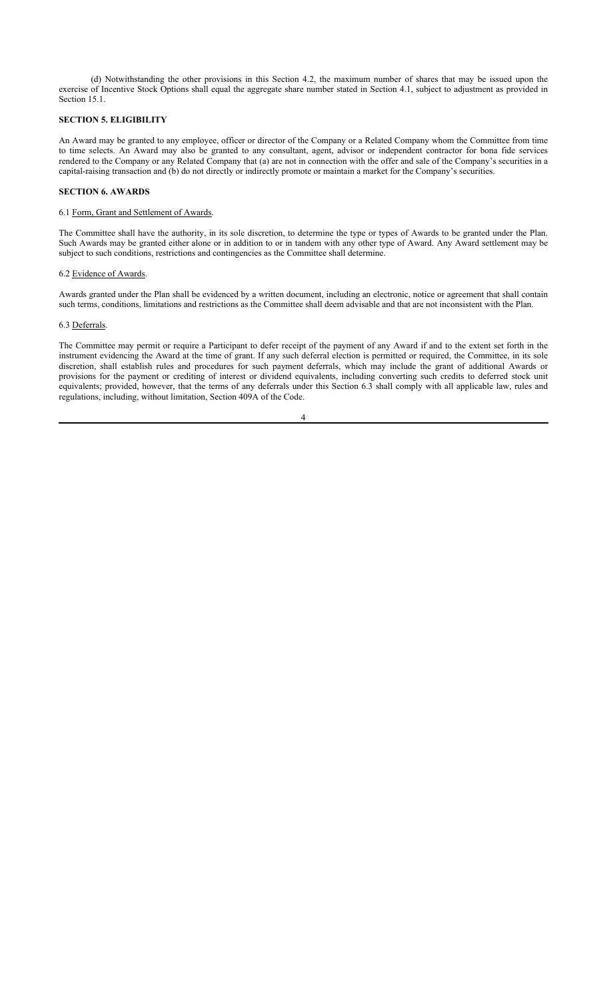(d) Notwithstanding the other provisions in this Section 4.2, the maximum number of shares that may be issued upon the exercise of Incentive Stock Options shall equal the aggregate share number stated in Section 4.1, subject to adjustment as provided in Section 15.1.

#### **SECTION 5. ELIGIBILITY**

An Award may be granted to any employee, officer or director of the Company or a Related Company whom the Committee from time to time selects. An Award may also be granted to any consultant, agent, advisor or independent contractor for bona fide services rendered to the Company or any Related Company that (a) are not in connection with the offer and sale of the Company's securities in a capital-raising transaction and (b) do not directly or indirectly promote or maintain a market for the Company's securities.

# **SECTION 6. AWARDS**

### 6.1 Form, Grant and Settlement of Awards.

The Committee shall have the authority, in its sole discretion, to determine the type or types of Awards to be granted under the Plan. Such Awards may be granted either alone or in addition to or in tandem with any other type of Award. Any Award settlement may be subject to such conditions, restrictions and contingencies as the Committee shall determine.

# 6.2 Evidence of Awards.

Awards granted under the Plan shall be evidenced by a written document, including an electronic, notice or agreement that shall contain such terms, conditions, limitations and restrictions as the Committee shall deem advisable and that are not inconsistent with the Plan.

#### 6.3 Deferrals.

The Committee may permit or require a Participant to defer receipt of the payment of any Award if and to the extent set forth in the instrument evidencing the Award at the time of grant. If any such deferral election is permitted or required, the Committee, in its sole discretion, shall establish rules and procedures for such payment deferrals, which may include the grant of additional Awards or provisions for the payment or crediting of interest or dividend equivalents, including converting such credits to deferred stock unit equivalents; provided, however, that the terms of any deferrals under this Section 6.3 shall comply with all applicable law, rules and regulations, including, without limitation, Section 409A of the Code.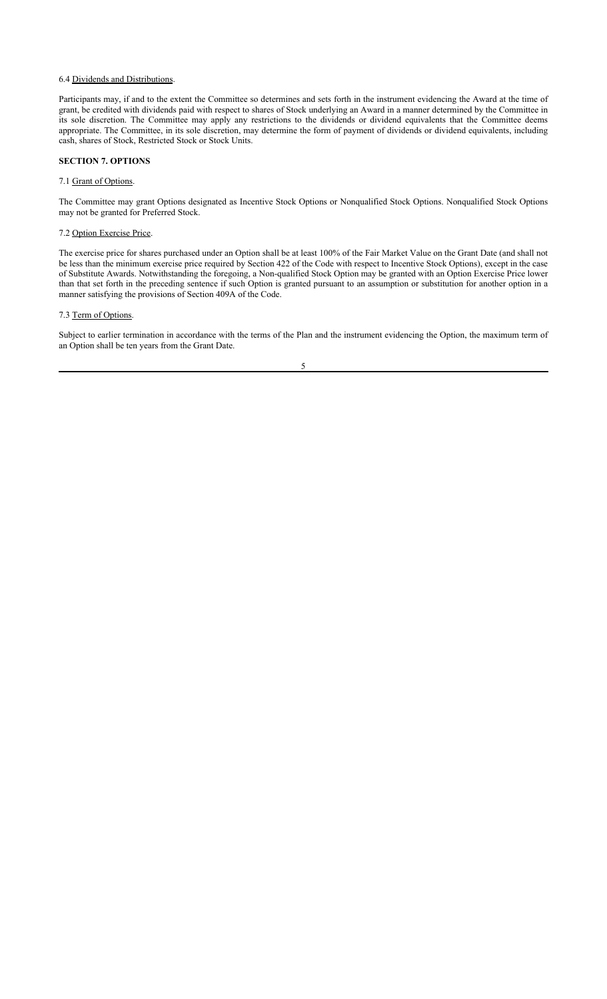#### 6.4 Dividends and Distributions.

Participants may, if and to the extent the Committee so determines and sets forth in the instrument evidencing the Award at the time of grant, be credited with dividends paid with respect to shares of Stock underlying an Award in a manner determined by the Committee in its sole discretion. The Committee may apply any restrictions to the dividends or dividend equivalents that the Committee deems appropriate. The Committee, in its sole discretion, may determine the form of payment of dividends or dividend equivalents, including cash, shares of Stock, Restricted Stock or Stock Units.

#### **SECTION 7. OPTIONS**

#### 7.1 Grant of Options.

The Committee may grant Options designated as Incentive Stock Options or Nonqualified Stock Options. Nonqualified Stock Options may not be granted for Preferred Stock.

# 7.2 Option Exercise Price.

The exercise price for shares purchased under an Option shall be at least 100% of the Fair Market Value on the Grant Date (and shall not be less than the minimum exercise price required by Section 422 of the Code with respect to Incentive Stock Options), except in the case of Substitute Awards. Notwithstanding the foregoing, a Non-qualified Stock Option may be granted with an Option Exercise Price lower than that set forth in the preceding sentence if such Option is granted pursuant to an assumption or substitution for another option in a manner satisfying the provisions of Section 409A of the Code.

#### 7.3 Term of Options.

Subject to earlier termination in accordance with the terms of the Plan and the instrument evidencing the Option, the maximum term of an Option shall be ten years from the Grant Date.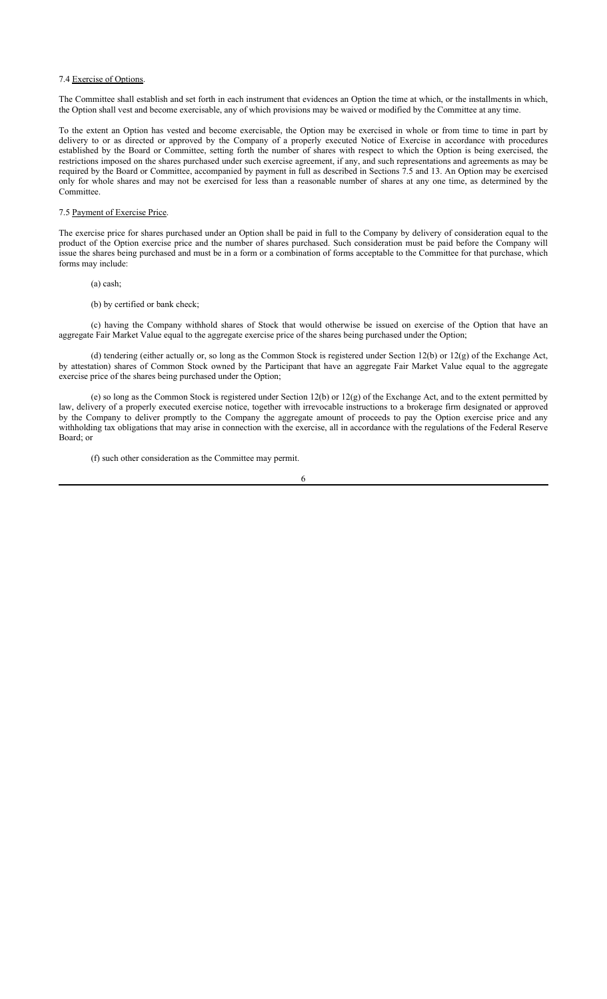#### 7.4 Exercise of Options.

The Committee shall establish and set forth in each instrument that evidences an Option the time at which, or the installments in which, the Option shall vest and become exercisable, any of which provisions may be waived or modified by the Committee at any time.

To the extent an Option has vested and become exercisable, the Option may be exercised in whole or from time to time in part by delivery to or as directed or approved by the Company of a properly executed Notice of Exercise in accordance with procedures established by the Board or Committee, setting forth the number of shares with respect to which the Option is being exercised, the restrictions imposed on the shares purchased under such exercise agreement, if any, and such representations and agreements as may be required by the Board or Committee, accompanied by payment in full as described in Sections 7.5 and 13. An Option may be exercised only for whole shares and may not be exercised for less than a reasonable number of shares at any one time, as determined by the **Committee** 

# 7.5 Payment of Exercise Price.

The exercise price for shares purchased under an Option shall be paid in full to the Company by delivery of consideration equal to the product of the Option exercise price and the number of shares purchased. Such consideration must be paid before the Company will issue the shares being purchased and must be in a form or a combination of forms acceptable to the Committee for that purchase, which forms may include:

- (a) cash;
- (b) by certified or bank check;

(c) having the Company withhold shares of Stock that would otherwise be issued on exercise of the Option that have an aggregate Fair Market Value equal to the aggregate exercise price of the shares being purchased under the Option;

(d) tendering (either actually or, so long as the Common Stock is registered under Section 12(b) or 12(g) of the Exchange Act, by attestation) shares of Common Stock owned by the Participant that have an aggregate Fair Market Value equal to the aggregate exercise price of the shares being purchased under the Option;

(e) so long as the Common Stock is registered under Section 12(b) or 12(g) of the Exchange Act, and to the extent permitted by law, delivery of a properly executed exercise notice, together with irrevocable instructions to a brokerage firm designated or approved by the Company to deliver promptly to the Company the aggregate amount of proceeds to pay the Option exercise price and any withholding tax obligations that may arise in connection with the exercise, all in accordance with the regulations of the Federal Reserve Board; or

(f) such other consideration as the Committee may permit.

6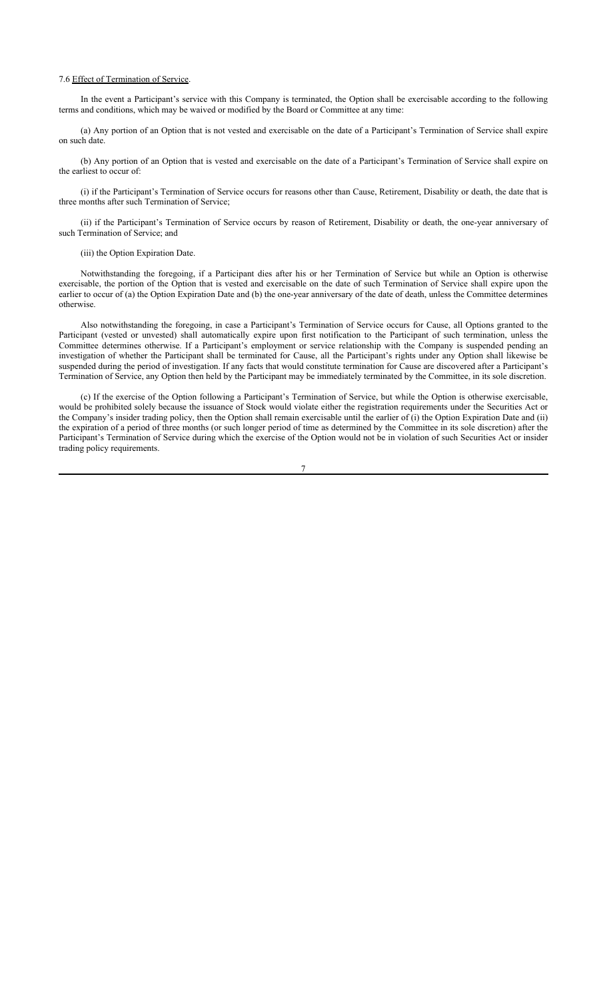#### 7.6 Effect of Termination of Service.

In the event a Participant's service with this Company is terminated, the Option shall be exercisable according to the following terms and conditions, which may be waived or modified by the Board or Committee at any time:

(a) Any portion of an Option that is not vested and exercisable on the date of a Participant's Termination of Service shall expire on such date.

(b) Any portion of an Option that is vested and exercisable on the date of a Participant's Termination of Service shall expire on the earliest to occur of:

(i) if the Participant's Termination of Service occurs for reasons other than Cause, Retirement, Disability or death, the date that is three months after such Termination of Service;

(ii) if the Participant's Termination of Service occurs by reason of Retirement, Disability or death, the one-year anniversary of such Termination of Service; and

## (iii) the Option Expiration Date.

Notwithstanding the foregoing, if a Participant dies after his or her Termination of Service but while an Option is otherwise exercisable, the portion of the Option that is vested and exercisable on the date of such Termination of Service shall expire upon the earlier to occur of (a) the Option Expiration Date and (b) the one-year anniversary of the date of death, unless the Committee determines otherwise.

Also notwithstanding the foregoing, in case a Participant's Termination of Service occurs for Cause, all Options granted to the Participant (vested or unvested) shall automatically expire upon first notification to the Participant of such termination, unless the Committee determines otherwise. If a Participant's employment or service relationship with the Company is suspended pending an investigation of whether the Participant shall be terminated for Cause, all the Participant's rights under any Option shall likewise be suspended during the period of investigation. If any facts that would constitute termination for Cause are discovered after a Participant's Termination of Service, any Option then held by the Participant may be immediately terminated by the Committee, in its sole discretion.

(c) If the exercise of the Option following a Participant's Termination of Service, but while the Option is otherwise exercisable, would be prohibited solely because the issuance of Stock would violate either the registration requirements under the Securities Act or the Company's insider trading policy, then the Option shall remain exercisable until the earlier of (i) the Option Expiration Date and (ii) the expiration of a period of three months (or such longer period of time as determined by the Committee in its sole discretion) after the Participant's Termination of Service during which the exercise of the Option would not be in violation of such Securities Act or insider trading policy requirements.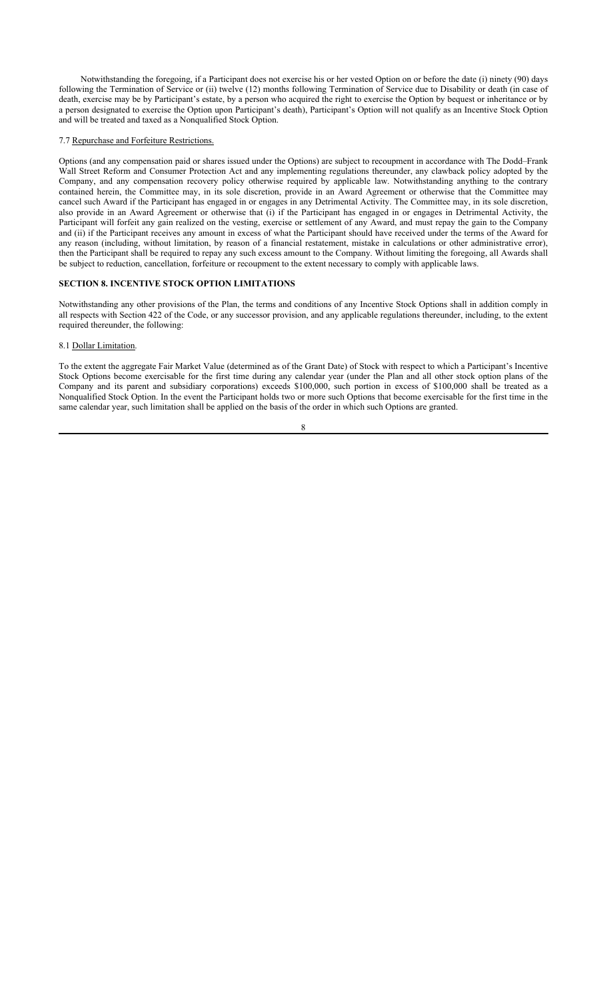Notwithstanding the foregoing, if a Participant does not exercise his or her vested Option on or before the date (i) ninety (90) days following the Termination of Service or (ii) twelve (12) months following Termination of Service due to Disability or death (in case of death, exercise may be by Participant's estate, by a person who acquired the right to exercise the Option by bequest or inheritance or by a person designated to exercise the Option upon Participant's death), Participant's Option will not qualify as an Incentive Stock Option and will be treated and taxed as a Nonqualified Stock Option.

#### 7.7 Repurchase and Forfeiture Restrictions.

Options (and any compensation paid or shares issued under the Options) are subject to recoupment in accordance with The Dodd–Frank Wall Street Reform and Consumer Protection Act and any implementing regulations thereunder, any clawback policy adopted by the Company, and any compensation recovery policy otherwise required by applicable law. Notwithstanding anything to the contrary contained herein, the Committee may, in its sole discretion, provide in an Award Agreement or otherwise that the Committee may cancel such Award if the Participant has engaged in or engages in any Detrimental Activity. The Committee may, in its sole discretion, also provide in an Award Agreement or otherwise that (i) if the Participant has engaged in or engages in Detrimental Activity, the Participant will forfeit any gain realized on the vesting, exercise or settlement of any Award, and must repay the gain to the Company and (ii) if the Participant receives any amount in excess of what the Participant should have received under the terms of the Award for any reason (including, without limitation, by reason of a financial restatement, mistake in calculations or other administrative error), then the Participant shall be required to repay any such excess amount to the Company. Without limiting the foregoing, all Awards shall be subject to reduction, cancellation, forfeiture or recoupment to the extent necessary to comply with applicable laws.

# **SECTION 8. INCENTIVE STOCK OPTION LIMITATIONS**

Notwithstanding any other provisions of the Plan, the terms and conditions of any Incentive Stock Options shall in addition comply in all respects with Section 422 of the Code, or any successor provision, and any applicable regulations thereunder, including, to the extent required thereunder, the following:

#### 8.1 Dollar Limitation.

To the extent the aggregate Fair Market Value (determined as of the Grant Date) of Stock with respect to which a Participant's Incentive Stock Options become exercisable for the first time during any calendar year (under the Plan and all other stock option plans of the Company and its parent and subsidiary corporations) exceeds \$100,000, such portion in excess of \$100,000 shall be treated as a Nonqualified Stock Option. In the event the Participant holds two or more such Options that become exercisable for the first time in the same calendar year, such limitation shall be applied on the basis of the order in which such Options are granted.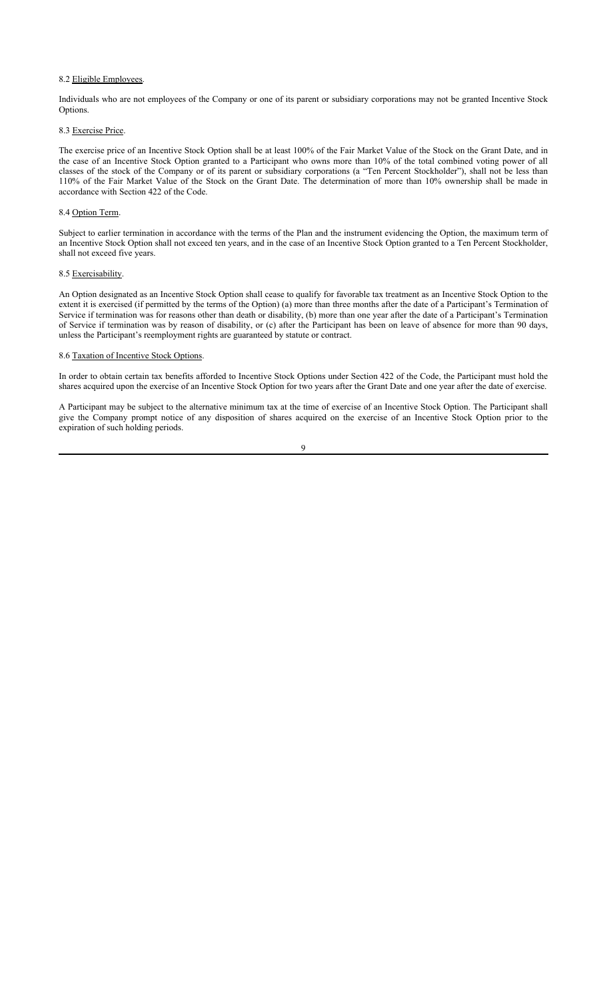#### 8.2 Eligible Employees.

Individuals who are not employees of the Company or one of its parent or subsidiary corporations may not be granted Incentive Stock Options.

#### 8.3 Exercise Price.

The exercise price of an Incentive Stock Option shall be at least 100% of the Fair Market Value of the Stock on the Grant Date, and in the case of an Incentive Stock Option granted to a Participant who owns more than 10% of the total combined voting power of all classes of the stock of the Company or of its parent or subsidiary corporations (a "Ten Percent Stockholder"), shall not be less than 110% of the Fair Market Value of the Stock on the Grant Date. The determination of more than 10% ownership shall be made in accordance with Section 422 of the Code.

#### 8.4 Option Term.

Subject to earlier termination in accordance with the terms of the Plan and the instrument evidencing the Option, the maximum term of an Incentive Stock Option shall not exceed ten years, and in the case of an Incentive Stock Option granted to a Ten Percent Stockholder, shall not exceed five years.

# 8.5 Exercisability.

An Option designated as an Incentive Stock Option shall cease to qualify for favorable tax treatment as an Incentive Stock Option to the extent it is exercised (if permitted by the terms of the Option) (a) more than three months after the date of a Participant's Termination of Service if termination was for reasons other than death or disability, (b) more than one year after the date of a Participant's Termination of Service if termination was by reason of disability, or (c) after the Participant has been on leave of absence for more than 90 days, unless the Participant's reemployment rights are guaranteed by statute or contract.

# 8.6 Taxation of Incentive Stock Options.

In order to obtain certain tax benefits afforded to Incentive Stock Options under Section 422 of the Code, the Participant must hold the shares acquired upon the exercise of an Incentive Stock Option for two years after the Grant Date and one year after the date of exercise.

A Participant may be subject to the alternative minimum tax at the time of exercise of an Incentive Stock Option. The Participant shall give the Company prompt notice of any disposition of shares acquired on the exercise of an Incentive Stock Option prior to the expiration of such holding periods.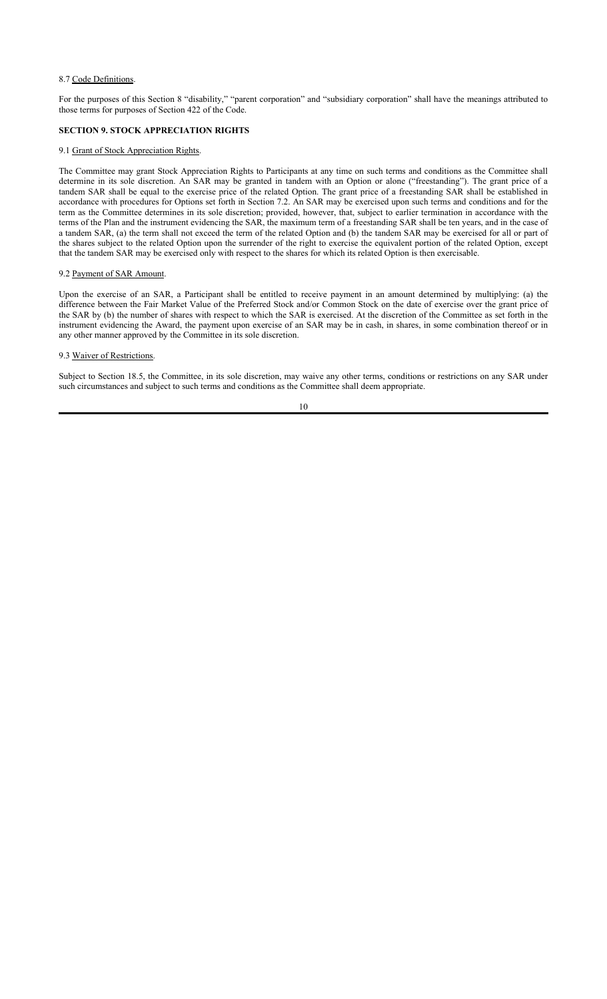#### 8.7 Code Definitions.

For the purposes of this Section 8 "disability," "parent corporation" and "subsidiary corporation" shall have the meanings attributed to those terms for purposes of Section 422 of the Code.

# **SECTION 9. STOCK APPRECIATION RIGHTS**

#### 9.1 Grant of Stock Appreciation Rights.

The Committee may grant Stock Appreciation Rights to Participants at any time on such terms and conditions as the Committee shall determine in its sole discretion. An SAR may be granted in tandem with an Option or alone ("freestanding"). The grant price of a tandem SAR shall be equal to the exercise price of the related Option. The grant price of a freestanding SAR shall be established in accordance with procedures for Options set forth in Section 7.2. An SAR may be exercised upon such terms and conditions and for the term as the Committee determines in its sole discretion; provided, however, that, subject to earlier termination in accordance with the terms of the Plan and the instrument evidencing the SAR, the maximum term of a freestanding SAR shall be ten years, and in the case of a tandem SAR, (a) the term shall not exceed the term of the related Option and (b) the tandem SAR may be exercised for all or part of the shares subject to the related Option upon the surrender of the right to exercise the equivalent portion of the related Option, except that the tandem SAR may be exercised only with respect to the shares for which its related Option is then exercisable.

# 9.2 Payment of SAR Amount.

Upon the exercise of an SAR, a Participant shall be entitled to receive payment in an amount determined by multiplying: (a) the difference between the Fair Market Value of the Preferred Stock and/or Common Stock on the date of exercise over the grant price of the SAR by (b) the number of shares with respect to which the SAR is exercised. At the discretion of the Committee as set forth in the instrument evidencing the Award, the payment upon exercise of an SAR may be in cash, in shares, in some combination thereof or in any other manner approved by the Committee in its sole discretion.

# 9.3 Waiver of Restrictions.

Subject to Section 18.5, the Committee, in its sole discretion, may waive any other terms, conditions or restrictions on any SAR under such circumstances and subject to such terms and conditions as the Committee shall deem appropriate.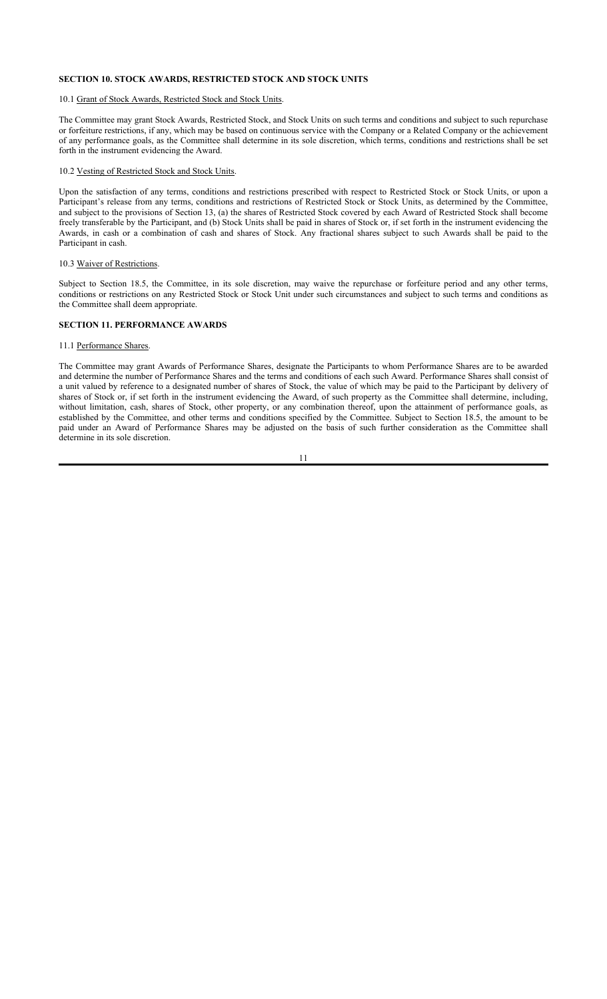# **SECTION 10. STOCK AWARDS, RESTRICTED STOCK AND STOCK UNITS**

# 10.1 Grant of Stock Awards, Restricted Stock and Stock Units.

The Committee may grant Stock Awards, Restricted Stock, and Stock Units on such terms and conditions and subject to such repurchase or forfeiture restrictions, if any, which may be based on continuous service with the Company or a Related Company or the achievement of any performance goals, as the Committee shall determine in its sole discretion, which terms, conditions and restrictions shall be set forth in the instrument evidencing the Award.

#### 10.2 Vesting of Restricted Stock and Stock Units.

Upon the satisfaction of any terms, conditions and restrictions prescribed with respect to Restricted Stock or Stock Units, or upon a Participant's release from any terms, conditions and restrictions of Restricted Stock or Stock Units, as determined by the Committee, and subject to the provisions of Section 13, (a) the shares of Restricted Stock covered by each Award of Restricted Stock shall become freely transferable by the Participant, and (b) Stock Units shall be paid in shares of Stock or, if set forth in the instrument evidencing the Awards, in cash or a combination of cash and shares of Stock. Any fractional shares subject to such Awards shall be paid to the Participant in cash.

#### 10.3 Waiver of Restrictions.

Subject to Section 18.5, the Committee, in its sole discretion, may waive the repurchase or forfeiture period and any other terms, conditions or restrictions on any Restricted Stock or Stock Unit under such circumstances and subject to such terms and conditions as the Committee shall deem appropriate.

# **SECTION 11. PERFORMANCE AWARDS**

#### 11.1 Performance Shares.

The Committee may grant Awards of Performance Shares, designate the Participants to whom Performance Shares are to be awarded and determine the number of Performance Shares and the terms and conditions of each such Award. Performance Shares shall consist of a unit valued by reference to a designated number of shares of Stock, the value of which may be paid to the Participant by delivery of shares of Stock or, if set forth in the instrument evidencing the Award, of such property as the Committee shall determine, including, without limitation, cash, shares of Stock, other property, or any combination thereof, upon the attainment of performance goals, as established by the Committee, and other terms and conditions specified by the Committee. Subject to Section 18.5, the amount to be paid under an Award of Performance Shares may be adjusted on the basis of such further consideration as the Committee shall determine in its sole discretion.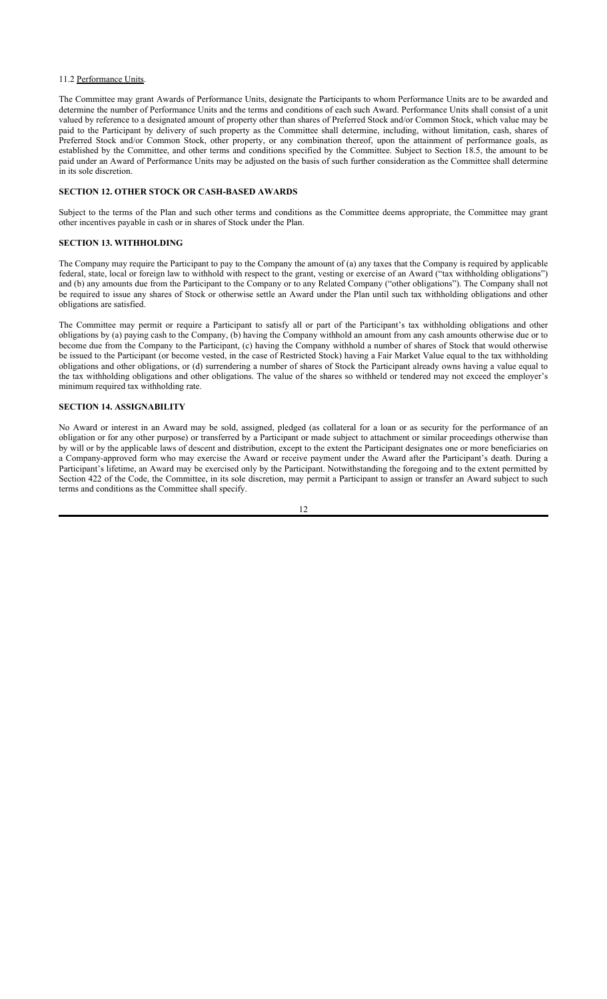#### 11.2 Performance Units.

The Committee may grant Awards of Performance Units, designate the Participants to whom Performance Units are to be awarded and determine the number of Performance Units and the terms and conditions of each such Award. Performance Units shall consist of a unit valued by reference to a designated amount of property other than shares of Preferred Stock and/or Common Stock, which value may be paid to the Participant by delivery of such property as the Committee shall determine, including, without limitation, cash, shares of Preferred Stock and/or Common Stock, other property, or any combination thereof, upon the attainment of performance goals, as established by the Committee, and other terms and conditions specified by the Committee. Subject to Section 18.5, the amount to be paid under an Award of Performance Units may be adjusted on the basis of such further consideration as the Committee shall determine in its sole discretion.

#### **SECTION 12. OTHER STOCK OR CASH-BASED AWARDS**

Subject to the terms of the Plan and such other terms and conditions as the Committee deems appropriate, the Committee may grant other incentives payable in cash or in shares of Stock under the Plan.

# **SECTION 13. WITHHOLDING**

The Company may require the Participant to pay to the Company the amount of (a) any taxes that the Company is required by applicable federal, state, local or foreign law to withhold with respect to the grant, vesting or exercise of an Award ("tax withholding obligations") and (b) any amounts due from the Participant to the Company or to any Related Company ("other obligations"). The Company shall not be required to issue any shares of Stock or otherwise settle an Award under the Plan until such tax withholding obligations and other obligations are satisfied.

The Committee may permit or require a Participant to satisfy all or part of the Participant's tax withholding obligations and other obligations by (a) paying cash to the Company, (b) having the Company withhold an amount from any cash amounts otherwise due or to become due from the Company to the Participant, (c) having the Company withhold a number of shares of Stock that would otherwise be issued to the Participant (or become vested, in the case of Restricted Stock) having a Fair Market Value equal to the tax withholding obligations and other obligations, or (d) surrendering a number of shares of Stock the Participant already owns having a value equal to the tax withholding obligations and other obligations. The value of the shares so withheld or tendered may not exceed the employer's minimum required tax withholding rate.

# **SECTION 14. ASSIGNABILITY**

No Award or interest in an Award may be sold, assigned, pledged (as collateral for a loan or as security for the performance of an obligation or for any other purpose) or transferred by a Participant or made subject to attachment or similar proceedings otherwise than by will or by the applicable laws of descent and distribution, except to the extent the Participant designates one or more beneficiaries on a Company-approved form who may exercise the Award or receive payment under the Award after the Participant's death. During a Participant's lifetime, an Award may be exercised only by the Participant. Notwithstanding the foregoing and to the extent permitted by Section 422 of the Code, the Committee, in its sole discretion, may permit a Participant to assign or transfer an Award subject to such terms and conditions as the Committee shall specify.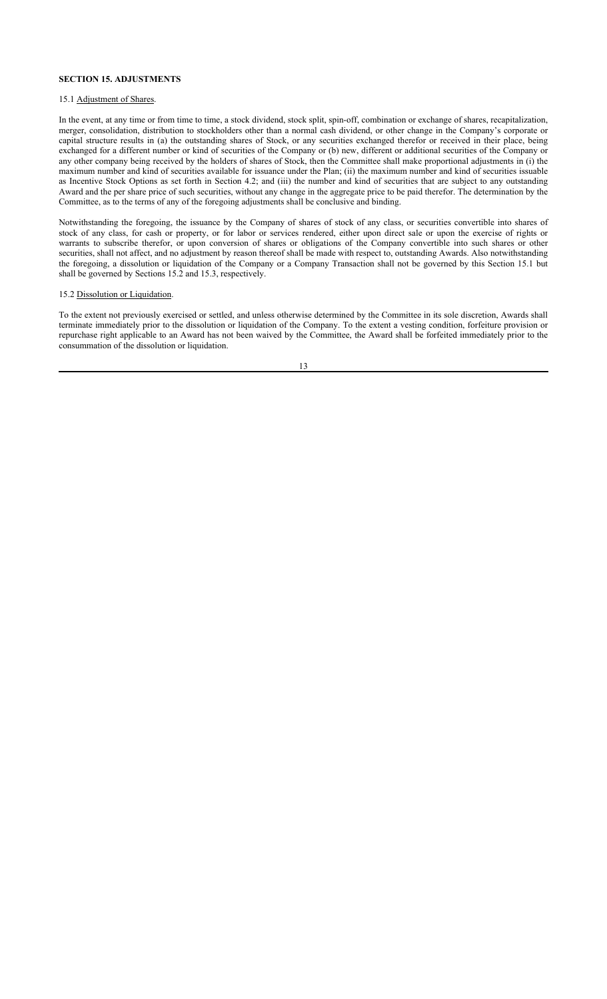# **SECTION 15. ADJUSTMENTS**

# 15.1 Adjustment of Shares.

In the event, at any time or from time to time, a stock dividend, stock split, spin-off, combination or exchange of shares, recapitalization, merger, consolidation, distribution to stockholders other than a normal cash dividend, or other change in the Company's corporate or capital structure results in (a) the outstanding shares of Stock, or any securities exchanged therefor or received in their place, being exchanged for a different number or kind of securities of the Company or (b) new, different or additional securities of the Company or any other company being received by the holders of shares of Stock, then the Committee shall make proportional adjustments in (i) the maximum number and kind of securities available for issuance under the Plan; (ii) the maximum number and kind of securities issuable as Incentive Stock Options as set forth in Section 4.2; and (iii) the number and kind of securities that are subject to any outstanding Award and the per share price of such securities, without any change in the aggregate price to be paid therefor. The determination by the Committee, as to the terms of any of the foregoing adjustments shall be conclusive and binding.

Notwithstanding the foregoing, the issuance by the Company of shares of stock of any class, or securities convertible into shares of stock of any class, for cash or property, or for labor or services rendered, either upon direct sale or upon the exercise of rights or warrants to subscribe therefor, or upon conversion of shares or obligations of the Company convertible into such shares or other securities, shall not affect, and no adjustment by reason thereof shall be made with respect to, outstanding Awards. Also notwithstanding the foregoing, a dissolution or liquidation of the Company or a Company Transaction shall not be governed by this Section 15.1 but shall be governed by Sections 15.2 and 15.3, respectively.

# 15.2 Dissolution or Liquidation.

To the extent not previously exercised or settled, and unless otherwise determined by the Committee in its sole discretion, Awards shall terminate immediately prior to the dissolution or liquidation of the Company. To the extent a vesting condition, forfeiture provision or repurchase right applicable to an Award has not been waived by the Committee, the Award shall be forfeited immediately prior to the consummation of the dissolution or liquidation.

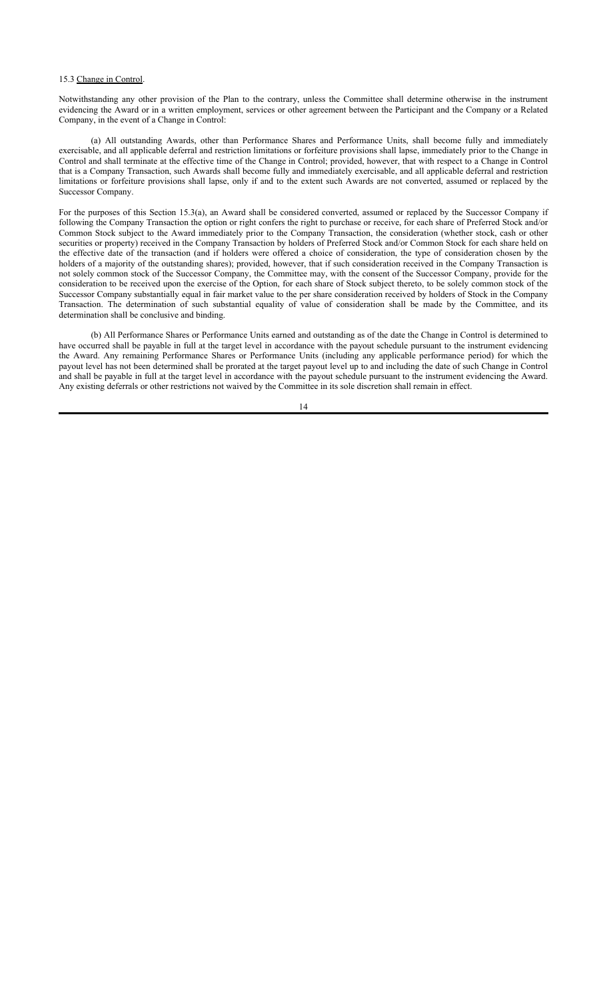#### 15.3 Change in Control.

Notwithstanding any other provision of the Plan to the contrary, unless the Committee shall determine otherwise in the instrument evidencing the Award or in a written employment, services or other agreement between the Participant and the Company or a Related Company, in the event of a Change in Control:

(a) All outstanding Awards, other than Performance Shares and Performance Units, shall become fully and immediately exercisable, and all applicable deferral and restriction limitations or forfeiture provisions shall lapse, immediately prior to the Change in Control and shall terminate at the effective time of the Change in Control; provided, however, that with respect to a Change in Control that is a Company Transaction, such Awards shall become fully and immediately exercisable, and all applicable deferral and restriction limitations or forfeiture provisions shall lapse, only if and to the extent such Awards are not converted, assumed or replaced by the Successor Company.

For the purposes of this Section 15.3(a), an Award shall be considered converted, assumed or replaced by the Successor Company if following the Company Transaction the option or right confers the right to purchase or receive, for each share of Preferred Stock and/or Common Stock subject to the Award immediately prior to the Company Transaction, the consideration (whether stock, cash or other securities or property) received in the Company Transaction by holders of Preferred Stock and/or Common Stock for each share held on the effective date of the transaction (and if holders were offered a choice of consideration, the type of consideration chosen by the holders of a majority of the outstanding shares); provided, however, that if such consideration received in the Company Transaction is not solely common stock of the Successor Company, the Committee may, with the consent of the Successor Company, provide for the consideration to be received upon the exercise of the Option, for each share of Stock subject thereto, to be solely common stock of the Successor Company substantially equal in fair market value to the per share consideration received by holders of Stock in the Company Transaction. The determination of such substantial equality of value of consideration shall be made by the Committee, and its determination shall be conclusive and binding.

(b) All Performance Shares or Performance Units earned and outstanding as of the date the Change in Control is determined to have occurred shall be payable in full at the target level in accordance with the payout schedule pursuant to the instrument evidencing the Award. Any remaining Performance Shares or Performance Units (including any applicable performance period) for which the payout level has not been determined shall be prorated at the target payout level up to and including the date of such Change in Control and shall be payable in full at the target level in accordance with the payout schedule pursuant to the instrument evidencing the Award. Any existing deferrals or other restrictions not waived by the Committee in its sole discretion shall remain in effect.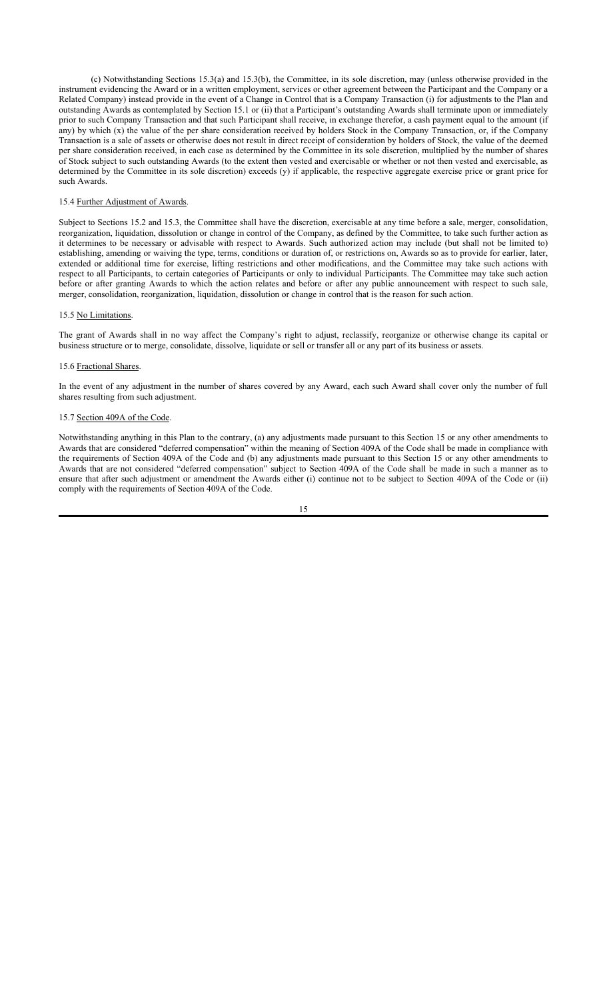(c) Notwithstanding Sections 15.3(a) and 15.3(b), the Committee, in its sole discretion, may (unless otherwise provided in the instrument evidencing the Award or in a written employment, services or other agreement between the Participant and the Company or a Related Company) instead provide in the event of a Change in Control that is a Company Transaction (i) for adjustments to the Plan and outstanding Awards as contemplated by Section 15.1 or (ii) that a Participant's outstanding Awards shall terminate upon or immediately prior to such Company Transaction and that such Participant shall receive, in exchange therefor, a cash payment equal to the amount (if any) by which (x) the value of the per share consideration received by holders Stock in the Company Transaction, or, if the Company Transaction is a sale of assets or otherwise does not result in direct receipt of consideration by holders of Stock, the value of the deemed per share consideration received, in each case as determined by the Committee in its sole discretion, multiplied by the number of shares of Stock subject to such outstanding Awards (to the extent then vested and exercisable or whether or not then vested and exercisable, as determined by the Committee in its sole discretion) exceeds (y) if applicable, the respective aggregate exercise price or grant price for such Awards.

### 15.4 Further Adjustment of Awards.

Subject to Sections 15.2 and 15.3, the Committee shall have the discretion, exercisable at any time before a sale, merger, consolidation, reorganization, liquidation, dissolution or change in control of the Company, as defined by the Committee, to take such further action as it determines to be necessary or advisable with respect to Awards. Such authorized action may include (but shall not be limited to) establishing, amending or waiving the type, terms, conditions or duration of, or restrictions on, Awards so as to provide for earlier, later, extended or additional time for exercise, lifting restrictions and other modifications, and the Committee may take such actions with respect to all Participants, to certain categories of Participants or only to individual Participants. The Committee may take such action before or after granting Awards to which the action relates and before or after any public announcement with respect to such sale, merger, consolidation, reorganization, liquidation, dissolution or change in control that is the reason for such action.

#### 15.5 No Limitations.

The grant of Awards shall in no way affect the Company's right to adjust, reclassify, reorganize or otherwise change its capital or business structure or to merge, consolidate, dissolve, liquidate or sell or transfer all or any part of its business or assets.

#### 15.6 Fractional Shares.

In the event of any adjustment in the number of shares covered by any Award, each such Award shall cover only the number of full shares resulting from such adjustment.

# 15.7 Section 409A of the Code.

Notwithstanding anything in this Plan to the contrary, (a) any adjustments made pursuant to this Section 15 or any other amendments to Awards that are considered "deferred compensation" within the meaning of Section 409A of the Code shall be made in compliance with the requirements of Section 409A of the Code and (b) any adjustments made pursuant to this Section 15 or any other amendments to Awards that are not considered "deferred compensation" subject to Section 409A of the Code shall be made in such a manner as to ensure that after such adjustment or amendment the Awards either (i) continue not to be subject to Section 409A of the Code or (ii) comply with the requirements of Section 409A of the Code.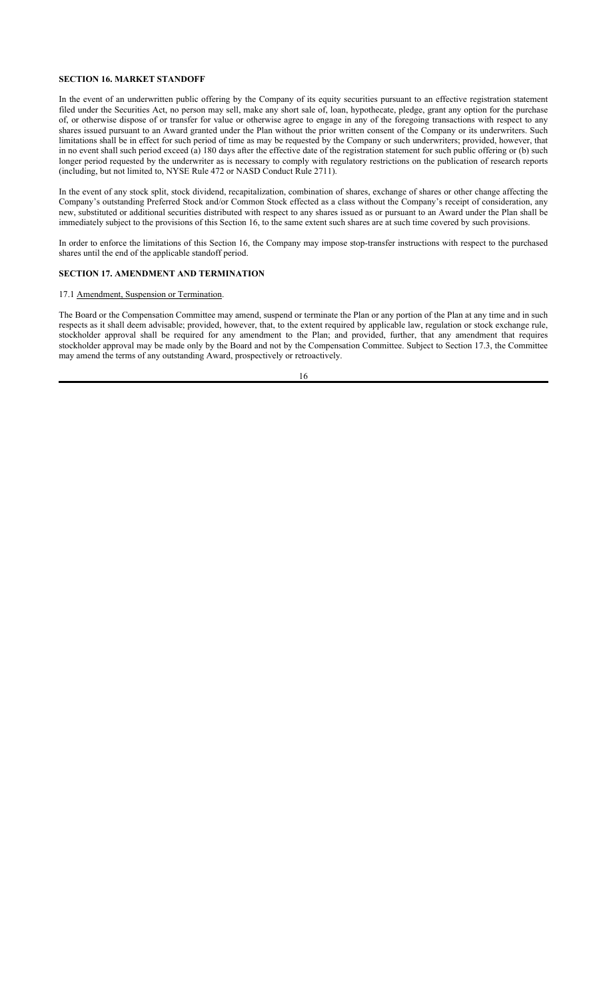## **SECTION 16. MARKET STANDOFF**

In the event of an underwritten public offering by the Company of its equity securities pursuant to an effective registration statement filed under the Securities Act, no person may sell, make any short sale of, loan, hypothecate, pledge, grant any option for the purchase of, or otherwise dispose of or transfer for value or otherwise agree to engage in any of the foregoing transactions with respect to any shares issued pursuant to an Award granted under the Plan without the prior written consent of the Company or its underwriters. Such limitations shall be in effect for such period of time as may be requested by the Company or such underwriters; provided, however, that in no event shall such period exceed (a) 180 days after the effective date of the registration statement for such public offering or (b) such longer period requested by the underwriter as is necessary to comply with regulatory restrictions on the publication of research reports (including, but not limited to, NYSE Rule 472 or NASD Conduct Rule 2711).

In the event of any stock split, stock dividend, recapitalization, combination of shares, exchange of shares or other change affecting the Company's outstanding Preferred Stock and/or Common Stock effected as a class without the Company's receipt of consideration, any new, substituted or additional securities distributed with respect to any shares issued as or pursuant to an Award under the Plan shall be immediately subject to the provisions of this Section 16, to the same extent such shares are at such time covered by such provisions.

In order to enforce the limitations of this Section 16, the Company may impose stop-transfer instructions with respect to the purchased shares until the end of the applicable standoff period.

# **SECTION 17. AMENDMENT AND TERMINATION**

# 17.1 Amendment, Suspension or Termination.

The Board or the Compensation Committee may amend, suspend or terminate the Plan or any portion of the Plan at any time and in such respects as it shall deem advisable; provided, however, that, to the extent required by applicable law, regulation or stock exchange rule, stockholder approval shall be required for any amendment to the Plan; and provided, further, that any amendment that requires stockholder approval may be made only by the Board and not by the Compensation Committee. Subject to Section 17.3, the Committee may amend the terms of any outstanding Award, prospectively or retroactively.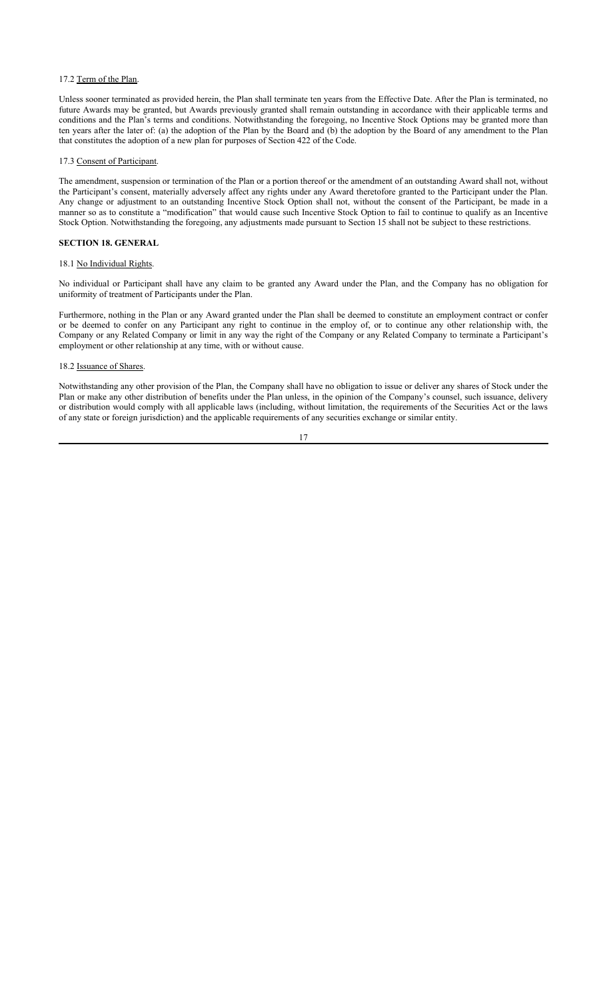# 17.2 Term of the Plan.

Unless sooner terminated as provided herein, the Plan shall terminate ten years from the Effective Date. After the Plan is terminated, no future Awards may be granted, but Awards previously granted shall remain outstanding in accordance with their applicable terms and conditions and the Plan's terms and conditions. Notwithstanding the foregoing, no Incentive Stock Options may be granted more than ten years after the later of: (a) the adoption of the Plan by the Board and (b) the adoption by the Board of any amendment to the Plan that constitutes the adoption of a new plan for purposes of Section 422 of the Code.

#### 17.3 Consent of Participant.

The amendment, suspension or termination of the Plan or a portion thereof or the amendment of an outstanding Award shall not, without the Participant's consent, materially adversely affect any rights under any Award theretofore granted to the Participant under the Plan. Any change or adjustment to an outstanding Incentive Stock Option shall not, without the consent of the Participant, be made in a manner so as to constitute a "modification" that would cause such Incentive Stock Option to fail to continue to qualify as an Incentive Stock Option. Notwithstanding the foregoing, any adjustments made pursuant to Section 15 shall not be subject to these restrictions.

#### **SECTION 18. GENERAL**

# 18.1 No Individual Rights.

No individual or Participant shall have any claim to be granted any Award under the Plan, and the Company has no obligation for uniformity of treatment of Participants under the Plan.

Furthermore, nothing in the Plan or any Award granted under the Plan shall be deemed to constitute an employment contract or confer or be deemed to confer on any Participant any right to continue in the employ of, or to continue any other relationship with, the Company or any Related Company or limit in any way the right of the Company or any Related Company to terminate a Participant's employment or other relationship at any time, with or without cause.

#### 18.2 Issuance of Shares.

Notwithstanding any other provision of the Plan, the Company shall have no obligation to issue or deliver any shares of Stock under the Plan or make any other distribution of benefits under the Plan unless, in the opinion of the Company's counsel, such issuance, delivery or distribution would comply with all applicable laws (including, without limitation, the requirements of the Securities Act or the laws of any state or foreign jurisdiction) and the applicable requirements of any securities exchange or similar entity.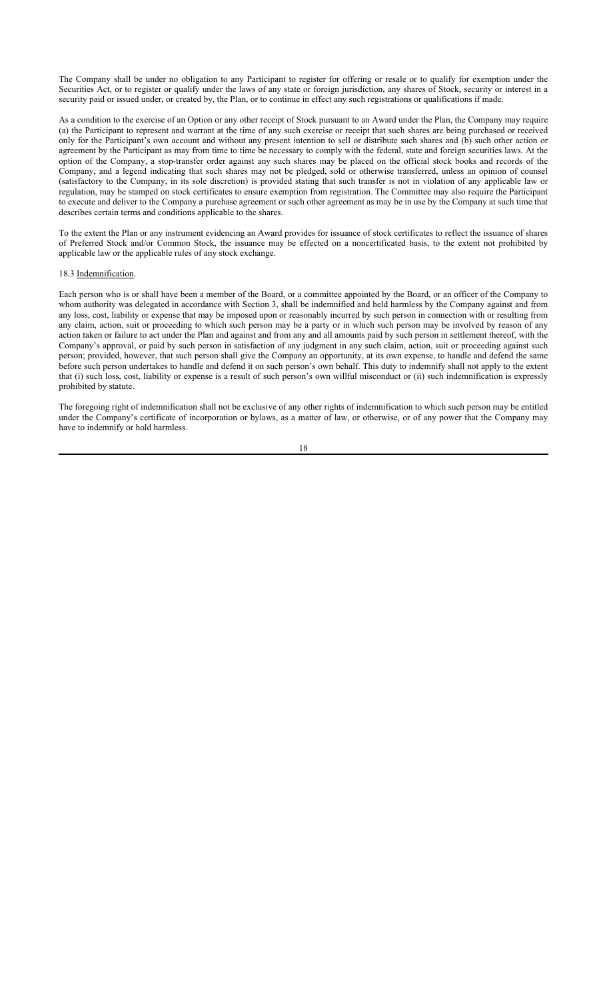The Company shall be under no obligation to any Participant to register for offering or resale or to qualify for exemption under the Securities Act, or to register or qualify under the laws of any state or foreign jurisdiction, any shares of Stock, security or interest in a security paid or issued under, or created by, the Plan, or to continue in effect any such registrations or qualifications if made.

As a condition to the exercise of an Option or any other receipt of Stock pursuant to an Award under the Plan, the Company may require (a) the Participant to represent and warrant at the time of any such exercise or receipt that such shares are being purchased or received only for the Participant's own account and without any present intention to sell or distribute such shares and (b) such other action or agreement by the Participant as may from time to time be necessary to comply with the federal, state and foreign securities laws. At the option of the Company, a stop-transfer order against any such shares may be placed on the official stock books and records of the Company, and a legend indicating that such shares may not be pledged, sold or otherwise transferred, unless an opinion of counsel (satisfactory to the Company, in its sole discretion) is provided stating that such transfer is not in violation of any applicable law or regulation, may be stamped on stock certificates to ensure exemption from registration. The Committee may also require the Participant to execute and deliver to the Company a purchase agreement or such other agreement as may be in use by the Company at such time that describes certain terms and conditions applicable to the shares.

To the extent the Plan or any instrument evidencing an Award provides for issuance of stock certificates to reflect the issuance of shares of Preferred Stock and/or Common Stock, the issuance may be effected on a noncertificated basis, to the extent not prohibited by applicable law or the applicable rules of any stock exchange.

# 18.3 Indemnification.

Each person who is or shall have been a member of the Board, or a committee appointed by the Board, or an officer of the Company to whom authority was delegated in accordance with Section 3, shall be indemnified and held harmless by the Company against and from any loss, cost, liability or expense that may be imposed upon or reasonably incurred by such person in connection with or resulting from any claim, action, suit or proceeding to which such person may be a party or in which such person may be involved by reason of any action taken or failure to act under the Plan and against and from any and all amounts paid by such person in settlement thereof, with the Company's approval, or paid by such person in satisfaction of any judgment in any such claim, action, suit or proceeding against such person; provided, however, that such person shall give the Company an opportunity, at its own expense, to handle and defend the same before such person undertakes to handle and defend it on such person's own behalf. This duty to indemnify shall not apply to the extent that (i) such loss, cost, liability or expense is a result of such person's own willful misconduct or (ii) such indemnification is expressly prohibited by statute.

The foregoing right of indemnification shall not be exclusive of any other rights of indemnification to which such person may be entitled under the Company's certificate of incorporation or bylaws, as a matter of law, or otherwise, or of any power that the Company may have to indemnify or hold harmless.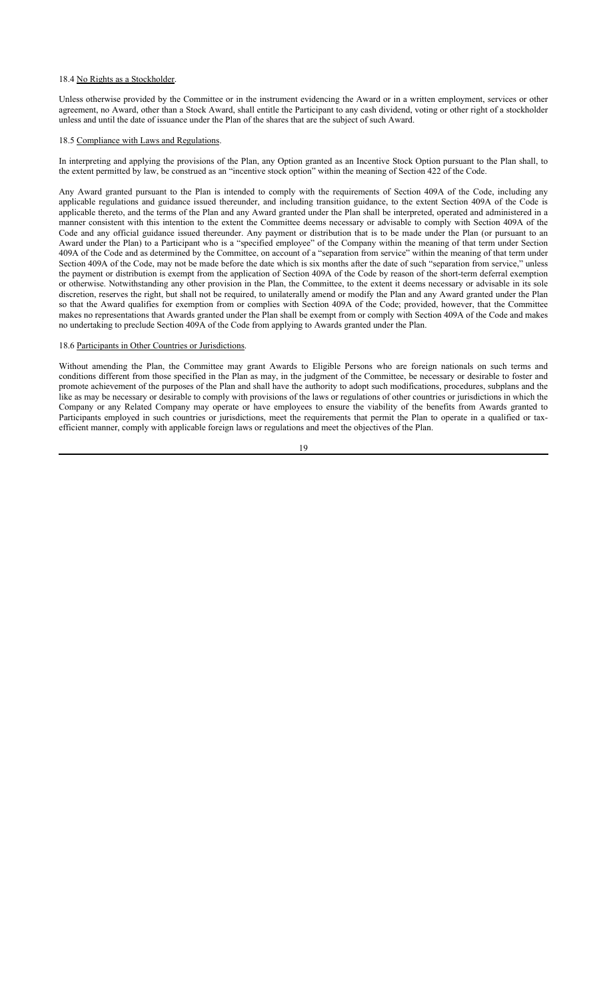#### 18.4 No Rights as a Stockholder.

Unless otherwise provided by the Committee or in the instrument evidencing the Award or in a written employment, services or other agreement, no Award, other than a Stock Award, shall entitle the Participant to any cash dividend, voting or other right of a stockholder unless and until the date of issuance under the Plan of the shares that are the subject of such Award.

#### 18.5 Compliance with Laws and Regulations.

In interpreting and applying the provisions of the Plan, any Option granted as an Incentive Stock Option pursuant to the Plan shall, to the extent permitted by law, be construed as an "incentive stock option" within the meaning of Section 422 of the Code.

Any Award granted pursuant to the Plan is intended to comply with the requirements of Section 409A of the Code, including any applicable regulations and guidance issued thereunder, and including transition guidance, to the extent Section 409A of the Code is applicable thereto, and the terms of the Plan and any Award granted under the Plan shall be interpreted, operated and administered in a manner consistent with this intention to the extent the Committee deems necessary or advisable to comply with Section 409A of the Code and any official guidance issued thereunder. Any payment or distribution that is to be made under the Plan (or pursuant to an Award under the Plan) to a Participant who is a "specified employee" of the Company within the meaning of that term under Section 409A of the Code and as determined by the Committee, on account of a "separation from service" within the meaning of that term under Section 409A of the Code, may not be made before the date which is six months after the date of such "separation from service," unless the payment or distribution is exempt from the application of Section 409A of the Code by reason of the short-term deferral exemption or otherwise. Notwithstanding any other provision in the Plan, the Committee, to the extent it deems necessary or advisable in its sole discretion, reserves the right, but shall not be required, to unilaterally amend or modify the Plan and any Award granted under the Plan so that the Award qualifies for exemption from or complies with Section 409A of the Code; provided, however, that the Committee makes no representations that Awards granted under the Plan shall be exempt from or comply with Section 409A of the Code and makes no undertaking to preclude Section 409A of the Code from applying to Awards granted under the Plan.

#### 18.6 Participants in Other Countries or Jurisdictions.

Without amending the Plan, the Committee may grant Awards to Eligible Persons who are foreign nationals on such terms and conditions different from those specified in the Plan as may, in the judgment of the Committee, be necessary or desirable to foster and promote achievement of the purposes of the Plan and shall have the authority to adopt such modifications, procedures, subplans and the like as may be necessary or desirable to comply with provisions of the laws or regulations of other countries or jurisdictions in which the Company or any Related Company may operate or have employees to ensure the viability of the benefits from Awards granted to Participants employed in such countries or jurisdictions, meet the requirements that permit the Plan to operate in a qualified or taxefficient manner, comply with applicable foreign laws or regulations and meet the objectives of the Plan.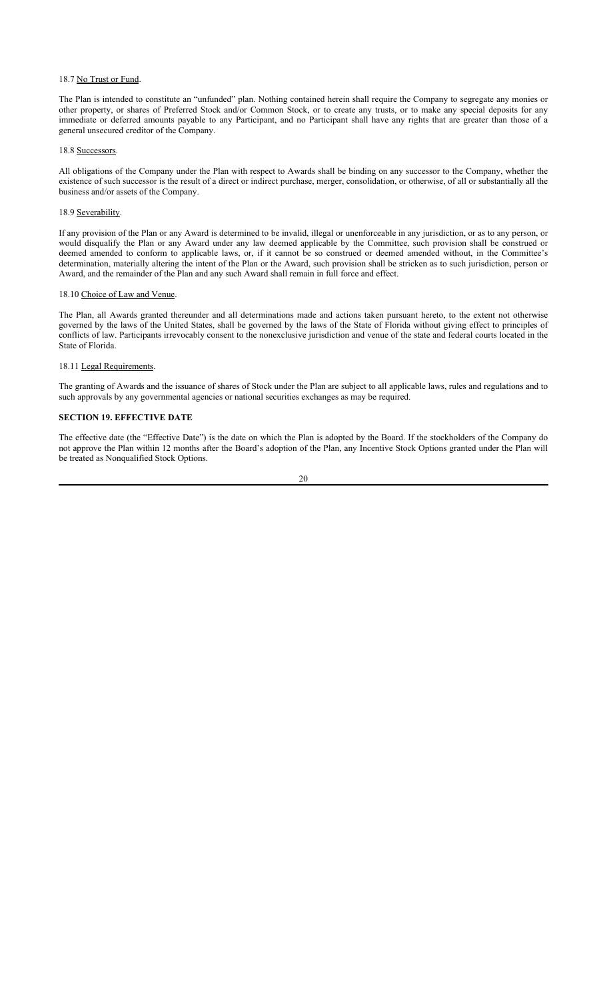## 18.7 No Trust or Fund.

The Plan is intended to constitute an "unfunded" plan. Nothing contained herein shall require the Company to segregate any monies or other property, or shares of Preferred Stock and/or Common Stock, or to create any trusts, or to make any special deposits for any immediate or deferred amounts payable to any Participant, and no Participant shall have any rights that are greater than those of a general unsecured creditor of the Company.

#### 18.8 Successors.

All obligations of the Company under the Plan with respect to Awards shall be binding on any successor to the Company, whether the existence of such successor is the result of a direct or indirect purchase, merger, consolidation, or otherwise, of all or substantially all the business and/or assets of the Company.

#### 18.9 Severability.

If any provision of the Plan or any Award is determined to be invalid, illegal or unenforceable in any jurisdiction, or as to any person, or would disqualify the Plan or any Award under any law deemed applicable by the Committee, such provision shall be construed or deemed amended to conform to applicable laws, or, if it cannot be so construed or deemed amended without, in the Committee's determination, materially altering the intent of the Plan or the Award, such provision shall be stricken as to such jurisdiction, person or Award, and the remainder of the Plan and any such Award shall remain in full force and effect.

# 18.10 Choice of Law and Venue.

The Plan, all Awards granted thereunder and all determinations made and actions taken pursuant hereto, to the extent not otherwise governed by the laws of the United States, shall be governed by the laws of the State of Florida without giving effect to principles of conflicts of law. Participants irrevocably consent to the nonexclusive jurisdiction and venue of the state and federal courts located in the State of Florida.

### 18.11 Legal Requirements.

The granting of Awards and the issuance of shares of Stock under the Plan are subject to all applicable laws, rules and regulations and to such approvals by any governmental agencies or national securities exchanges as may be required.

# **SECTION 19. EFFECTIVE DATE**

The effective date (the "Effective Date") is the date on which the Plan is adopted by the Board. If the stockholders of the Company do not approve the Plan within 12 months after the Board's adoption of the Plan, any Incentive Stock Options granted under the Plan will be treated as Nonqualified Stock Options.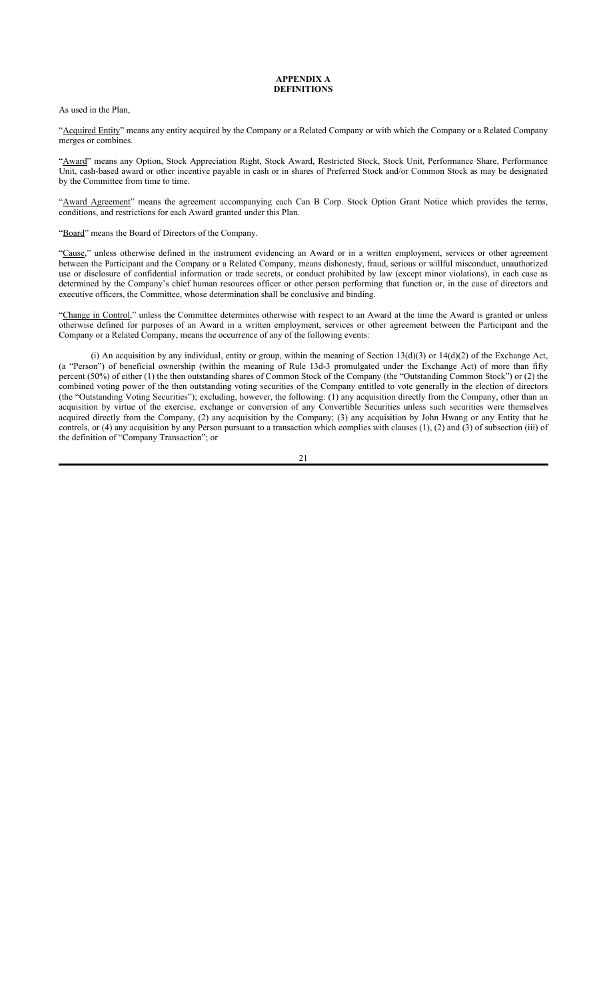#### **APPENDIX A DEFINITIONS**

As used in the Plan,

"Acquired Entity" means any entity acquired by the Company or a Related Company or with which the Company or a Related Company merges or combines.

"Award" means any Option, Stock Appreciation Right, Stock Award, Restricted Stock, Stock Unit, Performance Share, Performance Unit, cash-based award or other incentive payable in cash or in shares of Preferred Stock and/or Common Stock as may be designated by the Committee from time to time.

"Award Agreement" means the agreement accompanying each Can B Corp. Stock Option Grant Notice which provides the terms, conditions, and restrictions for each Award granted under this Plan.

"Board" means the Board of Directors of the Company.

"Cause," unless otherwise defined in the instrument evidencing an Award or in a written employment, services or other agreement between the Participant and the Company or a Related Company, means dishonesty, fraud, serious or willful misconduct, unauthorized use or disclosure of confidential information or trade secrets, or conduct prohibited by law (except minor violations), in each case as determined by the Company's chief human resources officer or other person performing that function or, in the case of directors and executive officers, the Committee, whose determination shall be conclusive and binding.

"Change in Control," unless the Committee determines otherwise with respect to an Award at the time the Award is granted or unless otherwise defined for purposes of an Award in a written employment, services or other agreement between the Participant and the Company or a Related Company, means the occurrence of any of the following events:

(i) An acquisition by any individual, entity or group, within the meaning of Section 13(d)(3) or 14(d)(2) of the Exchange Act, (a "Person") of beneficial ownership (within the meaning of Rule 13d-3 promulgated under the Exchange Act) of more than fifty percent (50%) of either (1) the then outstanding shares of Common Stock of the Company (the "Outstanding Common Stock") or (2) the combined voting power of the then outstanding voting securities of the Company entitled to vote generally in the election of directors (the "Outstanding Voting Securities"); excluding, however, the following: (1) any acquisition directly from the Company, other than an acquisition by virtue of the exercise, exchange or conversion of any Convertible Securities unless such securities were themselves acquired directly from the Company, (2) any acquisition by the Company; (3) any acquisition by John Hwang or any Entity that he controls, or (4) any acquisition by any Person pursuant to a transaction which complies with clauses (1), (2) and (3) of subsection (iii) of the definition of "Company Transaction"; or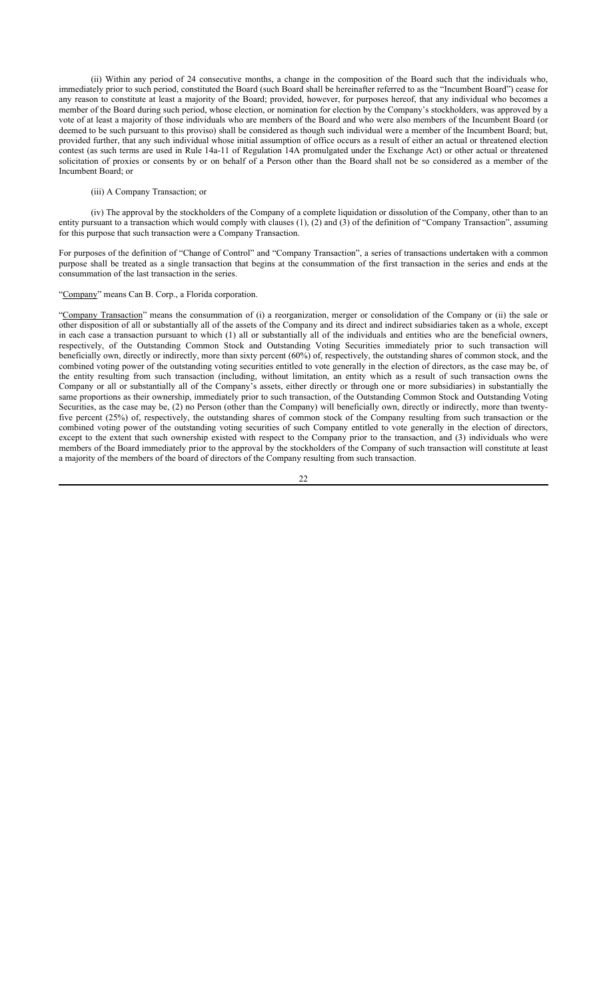(ii) Within any period of 24 consecutive months, a change in the composition of the Board such that the individuals who, immediately prior to such period, constituted the Board (such Board shall be hereinafter referred to as the "Incumbent Board") cease for any reason to constitute at least a majority of the Board; provided, however, for purposes hereof, that any individual who becomes a member of the Board during such period, whose election, or nomination for election by the Company's stockholders, was approved by a vote of at least a majority of those individuals who are members of the Board and who were also members of the Incumbent Board (or deemed to be such pursuant to this proviso) shall be considered as though such individual were a member of the Incumbent Board; but, provided further, that any such individual whose initial assumption of office occurs as a result of either an actual or threatened election contest (as such terms are used in Rule 14a-11 of Regulation 14A promulgated under the Exchange Act) or other actual or threatened solicitation of proxies or consents by or on behalf of a Person other than the Board shall not be so considered as a member of the Incumbent Board; or

#### (iii) A Company Transaction; or

(iv) The approval by the stockholders of the Company of a complete liquidation or dissolution of the Company, other than to an entity pursuant to a transaction which would comply with clauses (1), (2) and (3) of the definition of "Company Transaction", assuming for this purpose that such transaction were a Company Transaction.

For purposes of the definition of "Change of Control" and "Company Transaction", a series of transactions undertaken with a common purpose shall be treated as a single transaction that begins at the consummation of the first transaction in the series and ends at the consummation of the last transaction in the series.

#### "Company" means Can B. Corp., a Florida corporation.

"Company Transaction" means the consummation of (i) a reorganization, merger or consolidation of the Company or (ii) the sale or other disposition of all or substantially all of the assets of the Company and its direct and indirect subsidiaries taken as a whole, except in each case a transaction pursuant to which (1) all or substantially all of the individuals and entities who are the beneficial owners, respectively, of the Outstanding Common Stock and Outstanding Voting Securities immediately prior to such transaction will beneficially own, directly or indirectly, more than sixty percent (60%) of, respectively, the outstanding shares of common stock, and the combined voting power of the outstanding voting securities entitled to vote generally in the election of directors, as the case may be, of the entity resulting from such transaction (including, without limitation, an entity which as a result of such transaction owns the Company or all or substantially all of the Company's assets, either directly or through one or more subsidiaries) in substantially the same proportions as their ownership, immediately prior to such transaction, of the Outstanding Common Stock and Outstanding Voting Securities, as the case may be, (2) no Person (other than the Company) will beneficially own, directly or indirectly, more than twentyfive percent (25%) of, respectively, the outstanding shares of common stock of the Company resulting from such transaction or the combined voting power of the outstanding voting securities of such Company entitled to vote generally in the election of directors, except to the extent that such ownership existed with respect to the Company prior to the transaction, and (3) individuals who were members of the Board immediately prior to the approval by the stockholders of the Company of such transaction will constitute at least a majority of the members of the board of directors of the Company resulting from such transaction.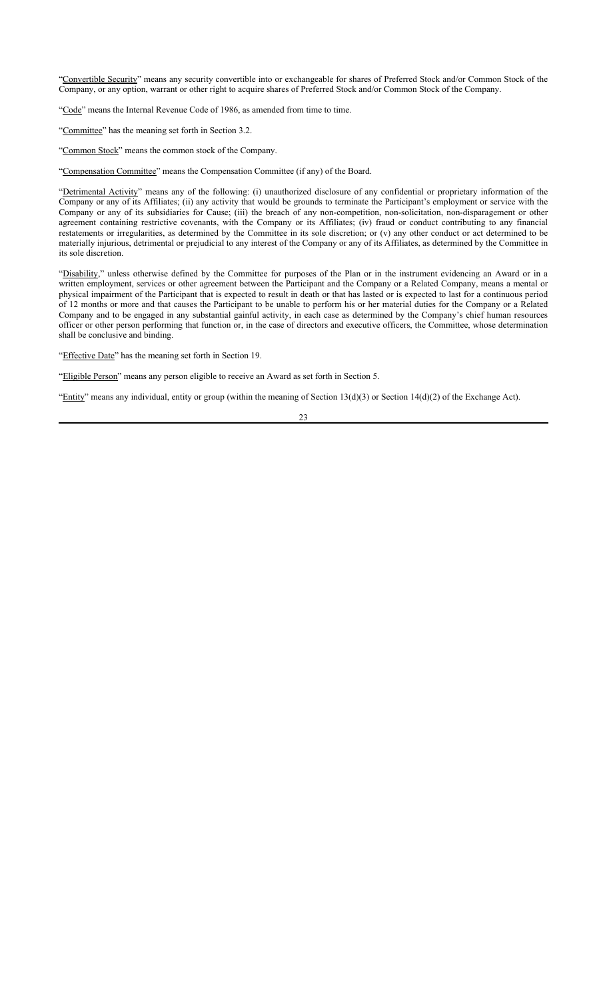"Convertible Security" means any security convertible into or exchangeable for shares of Preferred Stock and/or Common Stock of the Company, or any option, warrant or other right to acquire shares of Preferred Stock and/or Common Stock of the Company.

"Code" means the Internal Revenue Code of 1986, as amended from time to time.

"Committee" has the meaning set forth in Section 3.2.

"Common Stock" means the common stock of the Company.

"Compensation Committee" means the Compensation Committee (if any) of the Board.

"Detrimental Activity" means any of the following: (i) unauthorized disclosure of any confidential or proprietary information of the Company or any of its Affiliates; (ii) any activity that would be grounds to terminate the Participant's employment or service with the Company or any of its subsidiaries for Cause; (iii) the breach of any non-competition, non-solicitation, non-disparagement or other agreement containing restrictive covenants, with the Company or its Affiliates; (iv) fraud or conduct contributing to any financial restatements or irregularities, as determined by the Committee in its sole discretion; or (v) any other conduct or act determined to be materially injurious, detrimental or prejudicial to any interest of the Company or any of its Affiliates, as determined by the Committee in its sole discretion.

"Disability," unless otherwise defined by the Committee for purposes of the Plan or in the instrument evidencing an Award or in a written employment, services or other agreement between the Participant and the Company or a Related Company, means a mental or physical impairment of the Participant that is expected to result in death or that has lasted or is expected to last for a continuous period of 12 months or more and that causes the Participant to be unable to perform his or her material duties for the Company or a Related Company and to be engaged in any substantial gainful activity, in each case as determined by the Company's chief human resources officer or other person performing that function or, in the case of directors and executive officers, the Committee, whose determination shall be conclusive and binding.

"Effective Date" has the meaning set forth in Section 19.

"Eligible Person" means any person eligible to receive an Award as set forth in Section 5.

"Entity" means any individual, entity or group (within the meaning of Section 13(d)(3) or Section 14(d)(2) of the Exchange Act).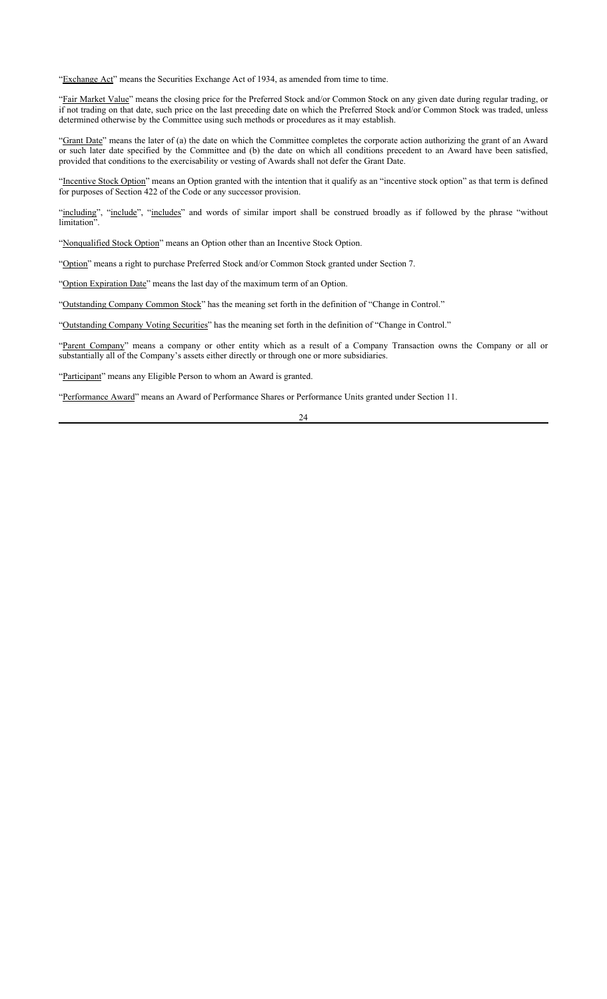"Exchange Act" means the Securities Exchange Act of 1934, as amended from time to time.

"Fair Market Value" means the closing price for the Preferred Stock and/or Common Stock on any given date during regular trading, or if not trading on that date, such price on the last preceding date on which the Preferred Stock and/or Common Stock was traded, unless determined otherwise by the Committee using such methods or procedures as it may establish.

"Grant Date" means the later of (a) the date on which the Committee completes the corporate action authorizing the grant of an Award or such later date specified by the Committee and (b) the date on which all conditions precedent to an Award have been satisfied, provided that conditions to the exercisability or vesting of Awards shall not defer the Grant Date.

"Incentive Stock Option" means an Option granted with the intention that it qualify as an "incentive stock option" as that term is defined for purposes of Section 422 of the Code or any successor provision.

"including", "include", "includes" and words of similar import shall be construed broadly as if followed by the phrase "without limitation".

"Nonqualified Stock Option" means an Option other than an Incentive Stock Option.

"Option" means a right to purchase Preferred Stock and/or Common Stock granted under Section 7.

"Option Expiration Date" means the last day of the maximum term of an Option.

"Outstanding Company Common Stock" has the meaning set forth in the definition of "Change in Control."

"Outstanding Company Voting Securities" has the meaning set forth in the definition of "Change in Control."

"Parent Company" means a company or other entity which as a result of a Company Transaction owns the Company or all or substantially all of the Company's assets either directly or through one or more subsidiaries.

"Participant" means any Eligible Person to whom an Award is granted.

"Performance Award" means an Award of Performance Shares or Performance Units granted under Section 11.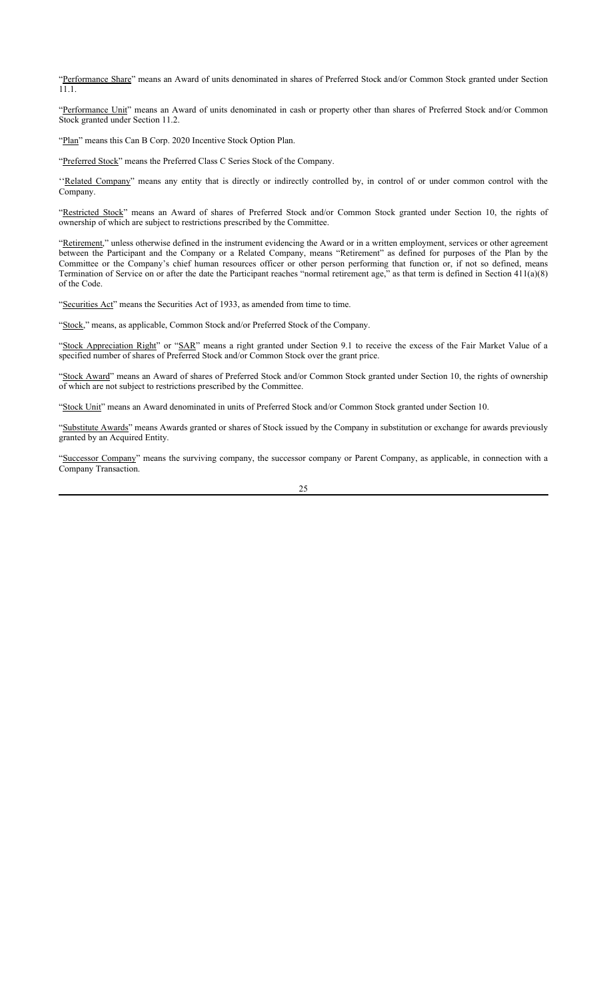"Performance Share" means an Award of units denominated in shares of Preferred Stock and/or Common Stock granted under Section 11.1.

"Performance Unit" means an Award of units denominated in cash or property other than shares of Preferred Stock and/or Common Stock granted under Section 11.2.

"Plan" means this Can B Corp. 2020 Incentive Stock Option Plan.

"Preferred Stock" means the Preferred Class C Series Stock of the Company.

"Related Company" means any entity that is directly or indirectly controlled by, in control of or under common control with the Company.

"Restricted Stock" means an Award of shares of Preferred Stock and/or Common Stock granted under Section 10, the rights of ownership of which are subject to restrictions prescribed by the Committee.

"Retirement," unless otherwise defined in the instrument evidencing the Award or in a written employment, services or other agreement between the Participant and the Company or a Related Company, means "Retirement" as defined for purposes of the Plan by the Committee or the Company's chief human resources officer or other person performing that function or, if not so defined, means Termination of Service on or after the date the Participant reaches "normal retirement age," as that term is defined in Section 411(a)(8) of the Code.

"Securities Act" means the Securities Act of 1933, as amended from time to time.

"Stock," means, as applicable, Common Stock and/or Preferred Stock of the Company.

"Stock Appreciation Right" or "SAR" means a right granted under Section 9.1 to receive the excess of the Fair Market Value of a specified number of shares of Preferred Stock and/or Common Stock over the grant price.

"Stock Award" means an Award of shares of Preferred Stock and/or Common Stock granted under Section 10, the rights of ownership of which are not subject to restrictions prescribed by the Committee.

"Stock Unit" means an Award denominated in units of Preferred Stock and/or Common Stock granted under Section 10.

"Substitute Awards" means Awards granted or shares of Stock issued by the Company in substitution or exchange for awards previously granted by an Acquired Entity.

"Successor Company" means the surviving company, the successor company or Parent Company, as applicable, in connection with a Company Transaction.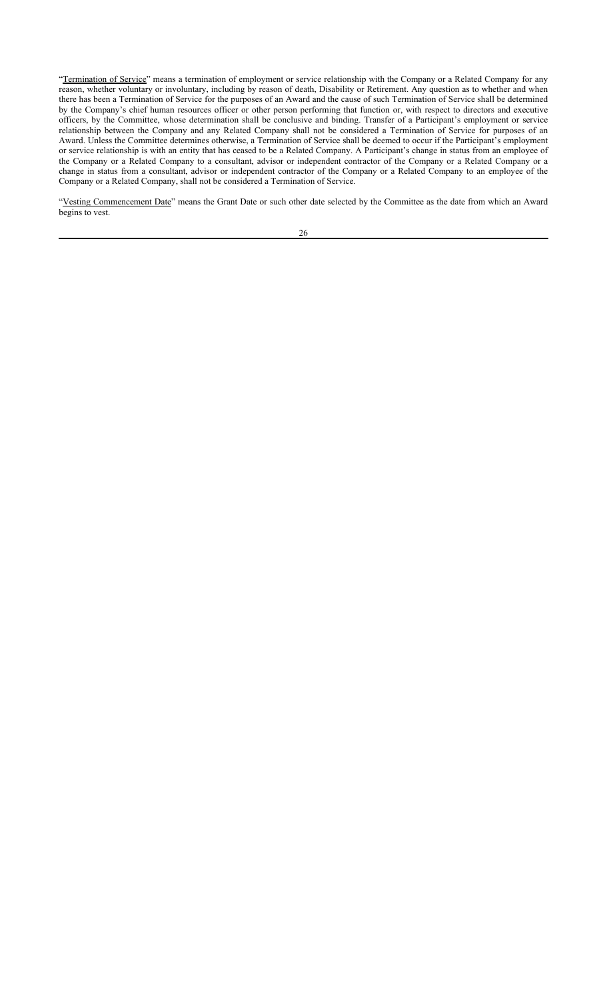"Termination of Service" means a termination of employment or service relationship with the Company or a Related Company for any reason, whether voluntary or involuntary, including by reason of death, Disability or Retirement. Any question as to whether and when there has been a Termination of Service for the purposes of an Award and the cause of such Termination of Service shall be determined by the Company's chief human resources officer or other person performing that function or, with respect to directors and executive officers, by the Committee, whose determination shall be conclusive and binding. Transfer of a Participant's employment or service relationship between the Company and any Related Company shall not be considered a Termination of Service for purposes of an Award. Unless the Committee determines otherwise, a Termination of Service shall be deemed to occur if the Participant's employment or service relationship is with an entity that has ceased to be a Related Company. A Participant's change in status from an employee of the Company or a Related Company to a consultant, advisor or independent contractor of the Company or a Related Company or a change in status from a consultant, advisor or independent contractor of the Company or a Related Company to an employee of the Company or a Related Company, shall not be considered a Termination of Service.

"Vesting Commencement Date" means the Grant Date or such other date selected by the Committee as the date from which an Award begins to vest.

|    | ۰,          |
|----|-------------|
| ۰. | ٧           |
|    | ٠           |
|    |             |
| ۰. | I<br>×<br>٧ |